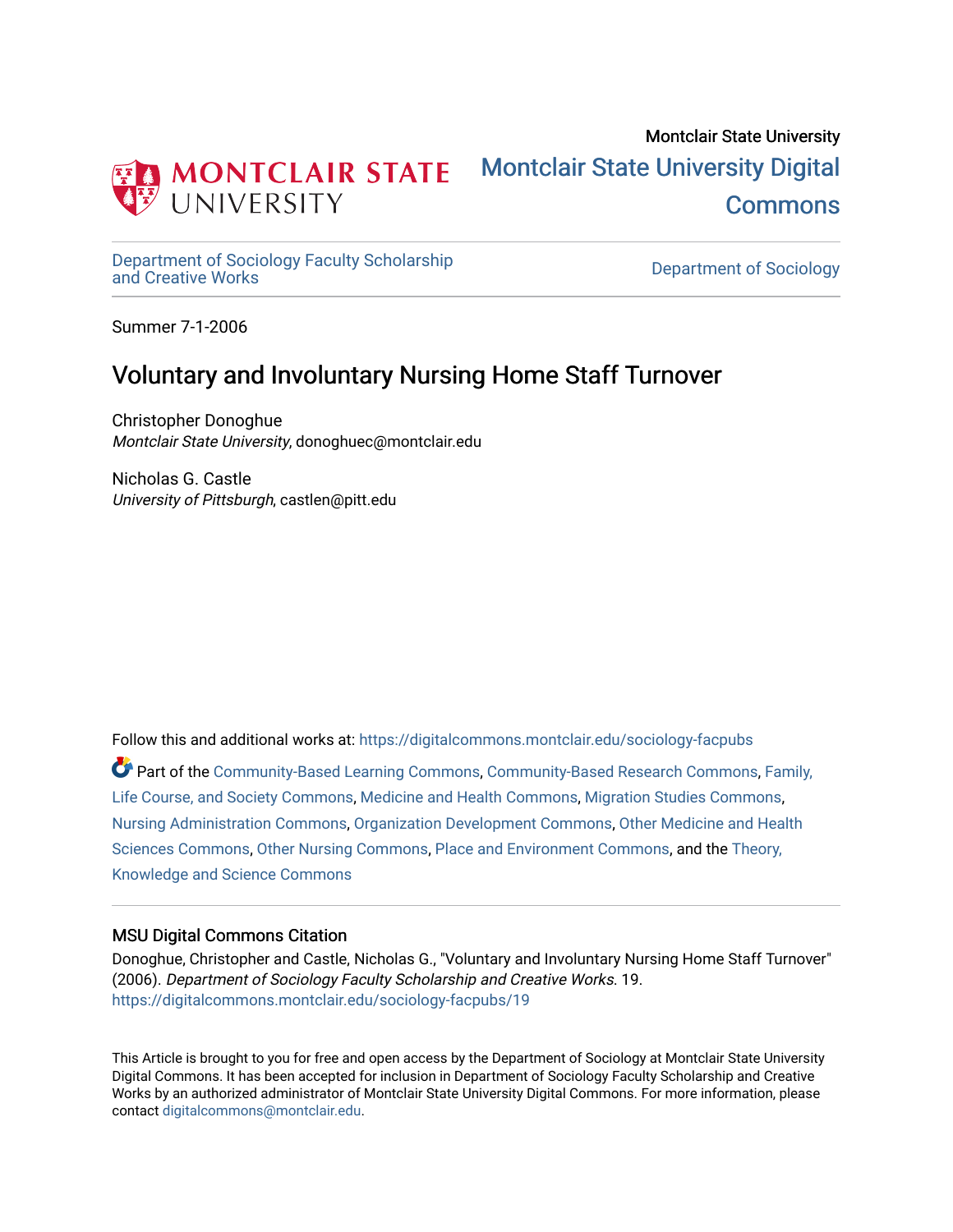

# Montclair State University [Montclair State University Digital](https://digitalcommons.montclair.edu/)  [Commons](https://digitalcommons.montclair.edu/)

[Department of Sociology Faculty Scholarship](https://digitalcommons.montclair.edu/sociology-facpubs)

Department of Sociology

Summer 7-1-2006

# Voluntary and Involuntary Nursing Home Staff Turnover

Christopher Donoghue Montclair State University, donoghuec@montclair.edu

Nicholas G. Castle University of Pittsburgh, castlen@pitt.edu

Follow this and additional works at: [https://digitalcommons.montclair.edu/sociology-facpubs](https://digitalcommons.montclair.edu/sociology-facpubs?utm_source=digitalcommons.montclair.edu%2Fsociology-facpubs%2F19&utm_medium=PDF&utm_campaign=PDFCoverPages)

Part of the [Community-Based Learning Commons,](http://network.bepress.com/hgg/discipline/1046?utm_source=digitalcommons.montclair.edu%2Fsociology-facpubs%2F19&utm_medium=PDF&utm_campaign=PDFCoverPages) [Community-Based Research Commons](http://network.bepress.com/hgg/discipline/1047?utm_source=digitalcommons.montclair.edu%2Fsociology-facpubs%2F19&utm_medium=PDF&utm_campaign=PDFCoverPages), [Family,](http://network.bepress.com/hgg/discipline/419?utm_source=digitalcommons.montclair.edu%2Fsociology-facpubs%2F19&utm_medium=PDF&utm_campaign=PDFCoverPages) [Life Course, and Society Commons](http://network.bepress.com/hgg/discipline/419?utm_source=digitalcommons.montclair.edu%2Fsociology-facpubs%2F19&utm_medium=PDF&utm_campaign=PDFCoverPages), [Medicine and Health Commons](http://network.bepress.com/hgg/discipline/422?utm_source=digitalcommons.montclair.edu%2Fsociology-facpubs%2F19&utm_medium=PDF&utm_campaign=PDFCoverPages), [Migration Studies Commons](http://network.bepress.com/hgg/discipline/1394?utm_source=digitalcommons.montclair.edu%2Fsociology-facpubs%2F19&utm_medium=PDF&utm_campaign=PDFCoverPages), [Nursing Administration Commons](http://network.bepress.com/hgg/discipline/719?utm_source=digitalcommons.montclair.edu%2Fsociology-facpubs%2F19&utm_medium=PDF&utm_campaign=PDFCoverPages), [Organization Development Commons,](http://network.bepress.com/hgg/discipline/1242?utm_source=digitalcommons.montclair.edu%2Fsociology-facpubs%2F19&utm_medium=PDF&utm_campaign=PDFCoverPages) [Other Medicine and Health](http://network.bepress.com/hgg/discipline/772?utm_source=digitalcommons.montclair.edu%2Fsociology-facpubs%2F19&utm_medium=PDF&utm_campaign=PDFCoverPages)  [Sciences Commons,](http://network.bepress.com/hgg/discipline/772?utm_source=digitalcommons.montclair.edu%2Fsociology-facpubs%2F19&utm_medium=PDF&utm_campaign=PDFCoverPages) [Other Nursing Commons](http://network.bepress.com/hgg/discipline/729?utm_source=digitalcommons.montclair.edu%2Fsociology-facpubs%2F19&utm_medium=PDF&utm_campaign=PDFCoverPages), [Place and Environment Commons](http://network.bepress.com/hgg/discipline/424?utm_source=digitalcommons.montclair.edu%2Fsociology-facpubs%2F19&utm_medium=PDF&utm_campaign=PDFCoverPages), and the [Theory,](http://network.bepress.com/hgg/discipline/432?utm_source=digitalcommons.montclair.edu%2Fsociology-facpubs%2F19&utm_medium=PDF&utm_campaign=PDFCoverPages)  [Knowledge and Science Commons](http://network.bepress.com/hgg/discipline/432?utm_source=digitalcommons.montclair.edu%2Fsociology-facpubs%2F19&utm_medium=PDF&utm_campaign=PDFCoverPages)

# MSU Digital Commons Citation

Donoghue, Christopher and Castle, Nicholas G., "Voluntary and Involuntary Nursing Home Staff Turnover" (2006). Department of Sociology Faculty Scholarship and Creative Works. 19. [https://digitalcommons.montclair.edu/sociology-facpubs/19](https://digitalcommons.montclair.edu/sociology-facpubs/19?utm_source=digitalcommons.montclair.edu%2Fsociology-facpubs%2F19&utm_medium=PDF&utm_campaign=PDFCoverPages) 

This Article is brought to you for free and open access by the Department of Sociology at Montclair State University Digital Commons. It has been accepted for inclusion in Department of Sociology Faculty Scholarship and Creative Works by an authorized administrator of Montclair State University Digital Commons. For more information, please contact [digitalcommons@montclair.edu](mailto:digitalcommons@montclair.edu).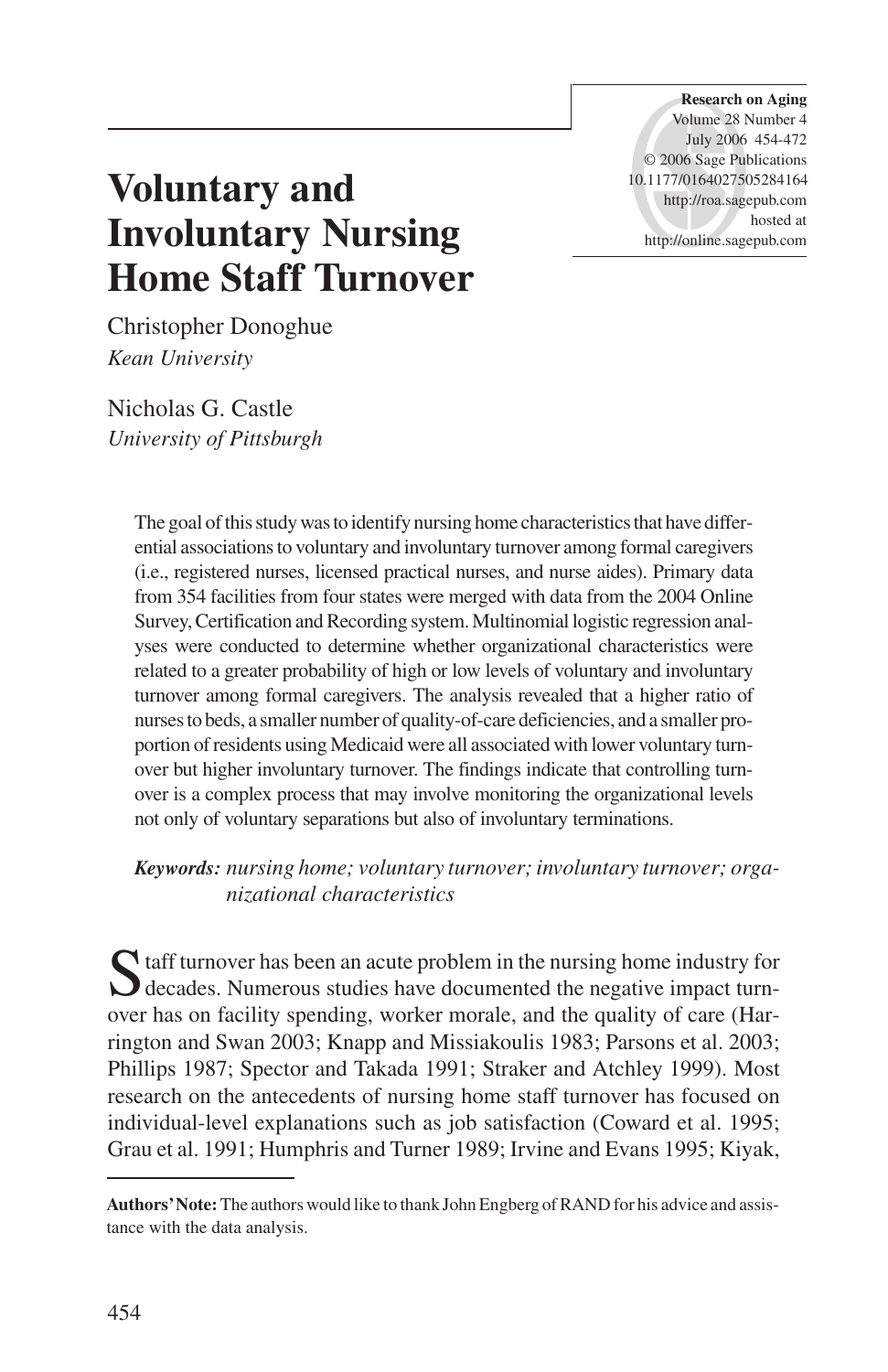**Research on Aging** Volume 28 Number 4 July 2006 454-472 © 2006 Sage Publications 10.1177/0164027505284164 http://roa.sagepub.com hosted at http://online.sagepub.com

# **Voluntary and Involuntary Nursing Home Staff Turnover**

10.1177/0164027505284164 Research on Aging Donoghue, Castle / Nursing Home Staff Turnover

Christopher Donoghue *Kean University*

Nicholas G. Castle *University of Pittsburgh*

> The goal of this study was to identify nursing home characteristics that have differential associations to voluntary and involuntary turnover among formal caregivers (i.e., registered nurses, licensed practical nurses, and nurse aides). Primary data from 354 facilities from four states were merged with data from the 2004 Online Survey, Certification and Recording system. Multinomial logistic regression analyses were conducted to determine whether organizational characteristics were related to a greater probability of high or low levels of voluntary and involuntary turnover among formal caregivers. The analysis revealed that a higher ratio of nurses to beds, a smaller number of quality-of-care deficiencies, and a smaller proportion of residents using Medicaid were all associated with lower voluntary turnover but higher involuntary turnover. The findings indicate that controlling turnover is a complex process that may involve monitoring the organizational levels not only of voluntary separations but also of involuntary terminations.

*Keywords: nursing home; voluntary turnover; involuntary turnover; organizational characteristics*

 $\Gamma$  taff turnover has been an acute problem in the nursing home industry for  $\bigcup$  decades. Numerous studies have documented the negative impact turnover has on facility spending, worker morale, and the quality of care (Harrington and Swan 2003; Knapp and Missiakoulis 1983; Parsons et al. 2003; Phillips 1987; Spector and Takada 1991; Straker and Atchley 1999). Most research on the antecedents of nursing home staff turnover has focused on individual-level explanations such as job satisfaction (Coward et al. 1995; Grau et al. 1991; Humphris and Turner 1989; Irvine and Evans 1995; Kiyak,

**Authors'Note:**The authors would like to thank John Engberg of RAND for his advice and assistance with the data analysis.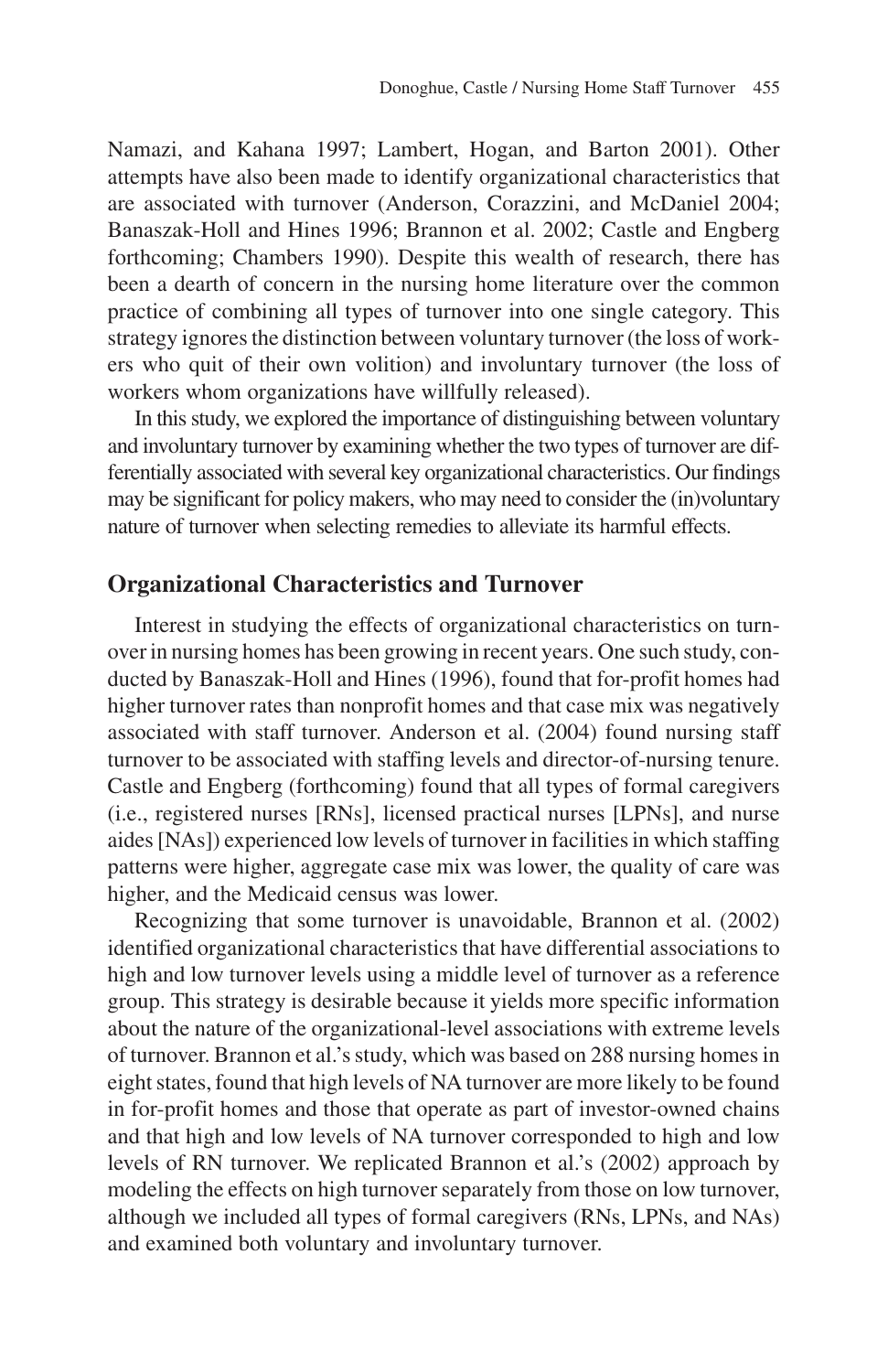Namazi, and Kahana 1997; Lambert, Hogan, and Barton 2001). Other attempts have also been made to identify organizational characteristics that are associated with turnover (Anderson, Corazzini, and McDaniel 2004; Banaszak-Holl and Hines 1996; Brannon et al. 2002; Castle and Engberg forthcoming; Chambers 1990). Despite this wealth of research, there has been a dearth of concern in the nursing home literature over the common practice of combining all types of turnover into one single category. This strategy ignores the distinction between voluntary turnover (the loss of workers who quit of their own volition) and involuntary turnover (the loss of workers whom organizations have willfully released).

In this study, we explored the importance of distinguishing between voluntary and involuntary turnover by examining whether the two types of turnover are differentially associated with several key organizational characteristics. Our findings may be significant for policy makers, who may need to consider the (in)voluntary nature of turnover when selecting remedies to alleviate its harmful effects.

### **Organizational Characteristics and Turnover**

Interest in studying the effects of organizational characteristics on turnover in nursing homes has been growing in recent years. One such study, conducted by Banaszak-Holl and Hines (1996), found that for-profit homes had higher turnover rates than nonprofit homes and that case mix was negatively associated with staff turnover. Anderson et al. (2004) found nursing staff turnover to be associated with staffing levels and director-of-nursing tenure. Castle and Engberg (forthcoming) found that all types of formal caregivers (i.e., registered nurses [RNs], licensed practical nurses [LPNs], and nurse aides [NAs]) experienced low levels of turnover in facilities in which staffing patterns were higher, aggregate case mix was lower, the quality of care was higher, and the Medicaid census was lower.

Recognizing that some turnover is unavoidable, Brannon et al. (2002) identified organizational characteristics that have differential associations to high and low turnover levels using a middle level of turnover as a reference group. This strategy is desirable because it yields more specific information about the nature of the organizational-level associations with extreme levels of turnover. Brannon et al.'s study, which was based on 288 nursing homes in eight states, found that high levels of NA turnover are more likely to be found in for-profit homes and those that operate as part of investor-owned chains and that high and low levels of NA turnover corresponded to high and low levels of RN turnover. We replicated Brannon et al.'s (2002) approach by modeling the effects on high turnover separately from those on low turnover, although we included all types of formal caregivers (RNs, LPNs, and NAs) and examined both voluntary and involuntary turnover.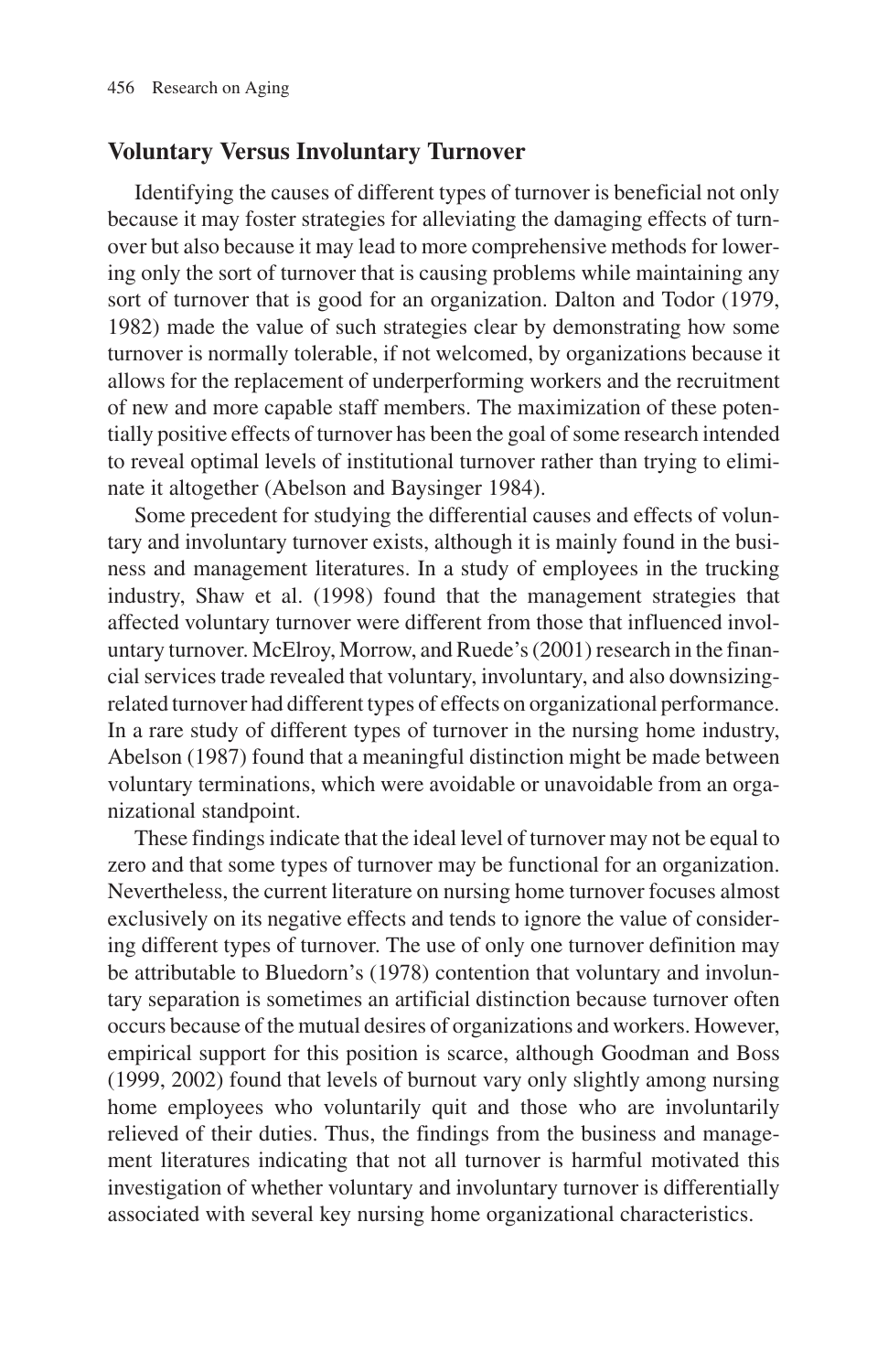#### **Voluntary Versus Involuntary Turnover**

Identifying the causes of different types of turnover is beneficial not only because it may foster strategies for alleviating the damaging effects of turnover but also because it may lead to more comprehensive methods for lowering only the sort of turnover that is causing problems while maintaining any sort of turnover that is good for an organization. Dalton and Todor (1979, 1982) made the value of such strategies clear by demonstrating how some turnover is normally tolerable, if not welcomed, by organizations because it allows for the replacement of underperforming workers and the recruitment of new and more capable staff members. The maximization of these potentially positive effects of turnover has been the goal of some research intended to reveal optimal levels of institutional turnover rather than trying to eliminate it altogether (Abelson and Baysinger 1984).

Some precedent for studying the differential causes and effects of voluntary and involuntary turnover exists, although it is mainly found in the business and management literatures. In a study of employees in the trucking industry, Shaw et al. (1998) found that the management strategies that affected voluntary turnover were different from those that influenced involuntary turnover. McElroy, Morrow, and Ruede's (2001) research in the financial services trade revealed that voluntary, involuntary, and also downsizingrelated turnover had different types of effects on organizational performance. In a rare study of different types of turnover in the nursing home industry, Abelson (1987) found that a meaningful distinction might be made between voluntary terminations, which were avoidable or unavoidable from an organizational standpoint.

These findings indicate that the ideal level of turnover may not be equal to zero and that some types of turnover may be functional for an organization. Nevertheless, the current literature on nursing home turnover focuses almost exclusively on its negative effects and tends to ignore the value of considering different types of turnover. The use of only one turnover definition may be attributable to Bluedorn's (1978) contention that voluntary and involuntary separation is sometimes an artificial distinction because turnover often occurs because of the mutual desires of organizations and workers. However, empirical support for this position is scarce, although Goodman and Boss (1999, 2002) found that levels of burnout vary only slightly among nursing home employees who voluntarily quit and those who are involuntarily relieved of their duties. Thus, the findings from the business and management literatures indicating that not all turnover is harmful motivated this investigation of whether voluntary and involuntary turnover is differentially associated with several key nursing home organizational characteristics.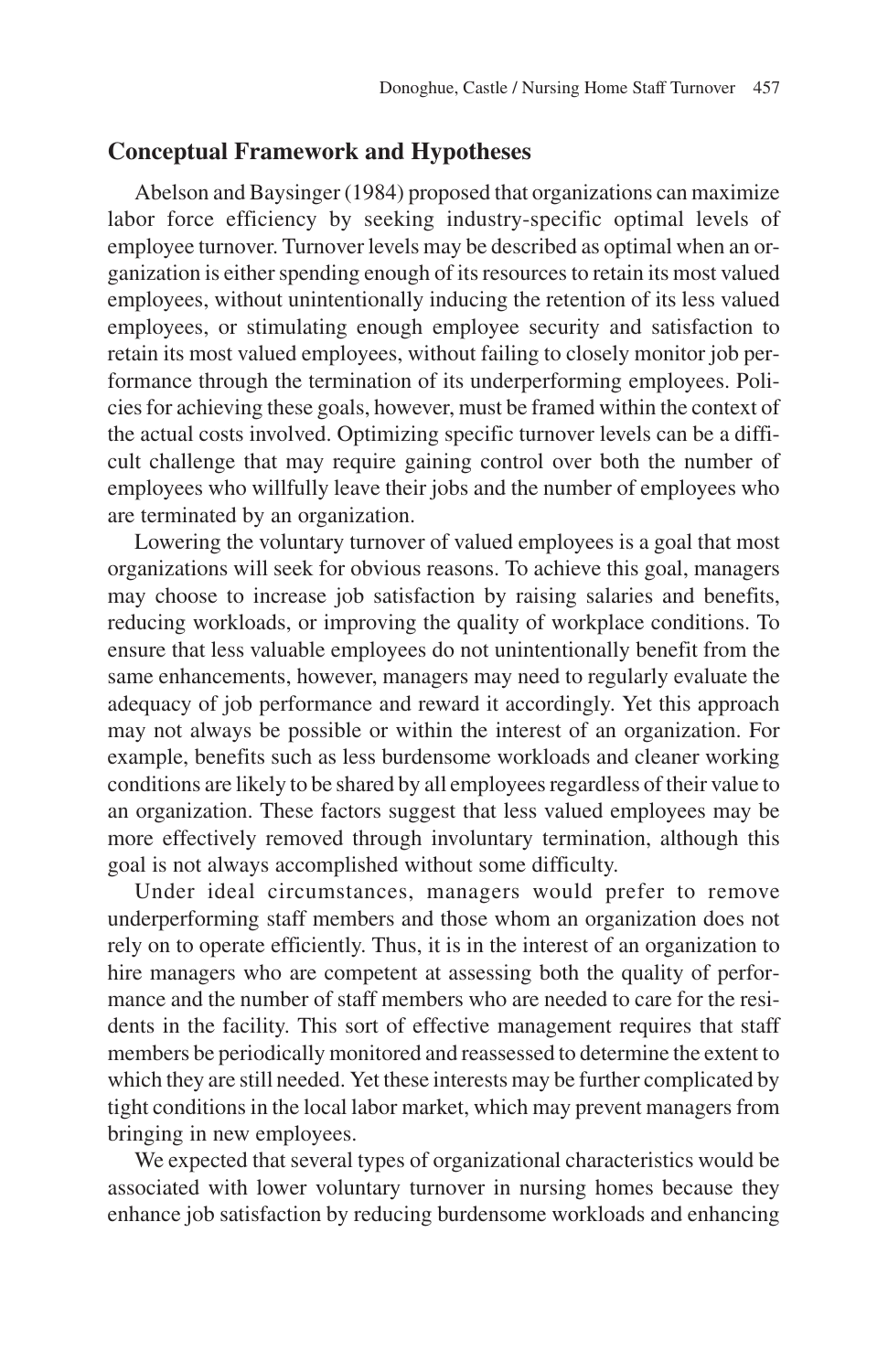# **Conceptual Framework and Hypotheses**

Abelson and Baysinger (1984) proposed that organizations can maximize labor force efficiency by seeking industry-specific optimal levels of employee turnover. Turnover levels may be described as optimal when an organization is either spending enough of its resources to retain its most valued employees, without unintentionally inducing the retention of its less valued employees, or stimulating enough employee security and satisfaction to retain its most valued employees, without failing to closely monitor job performance through the termination of its underperforming employees. Policies for achieving these goals, however, must be framed within the context of the actual costs involved. Optimizing specific turnover levels can be a difficult challenge that may require gaining control over both the number of employees who willfully leave their jobs and the number of employees who are terminated by an organization.

Lowering the voluntary turnover of valued employees is a goal that most organizations will seek for obvious reasons. To achieve this goal, managers may choose to increase job satisfaction by raising salaries and benefits, reducing workloads, or improving the quality of workplace conditions. To ensure that less valuable employees do not unintentionally benefit from the same enhancements, however, managers may need to regularly evaluate the adequacy of job performance and reward it accordingly. Yet this approach may not always be possible or within the interest of an organization. For example, benefits such as less burdensome workloads and cleaner working conditions are likely to be shared by all employees regardless of their value to an organization. These factors suggest that less valued employees may be more effectively removed through involuntary termination, although this goal is not always accomplished without some difficulty.

Under ideal circumstances, managers would prefer to remove underperforming staff members and those whom an organization does not rely on to operate efficiently. Thus, it is in the interest of an organization to hire managers who are competent at assessing both the quality of performance and the number of staff members who are needed to care for the residents in the facility. This sort of effective management requires that staff members be periodically monitored and reassessed to determine the extent to which they are still needed. Yet these interests may be further complicated by tight conditions in the local labor market, which may prevent managers from bringing in new employees.

We expected that several types of organizational characteristics would be associated with lower voluntary turnover in nursing homes because they enhance job satisfaction by reducing burdensome workloads and enhancing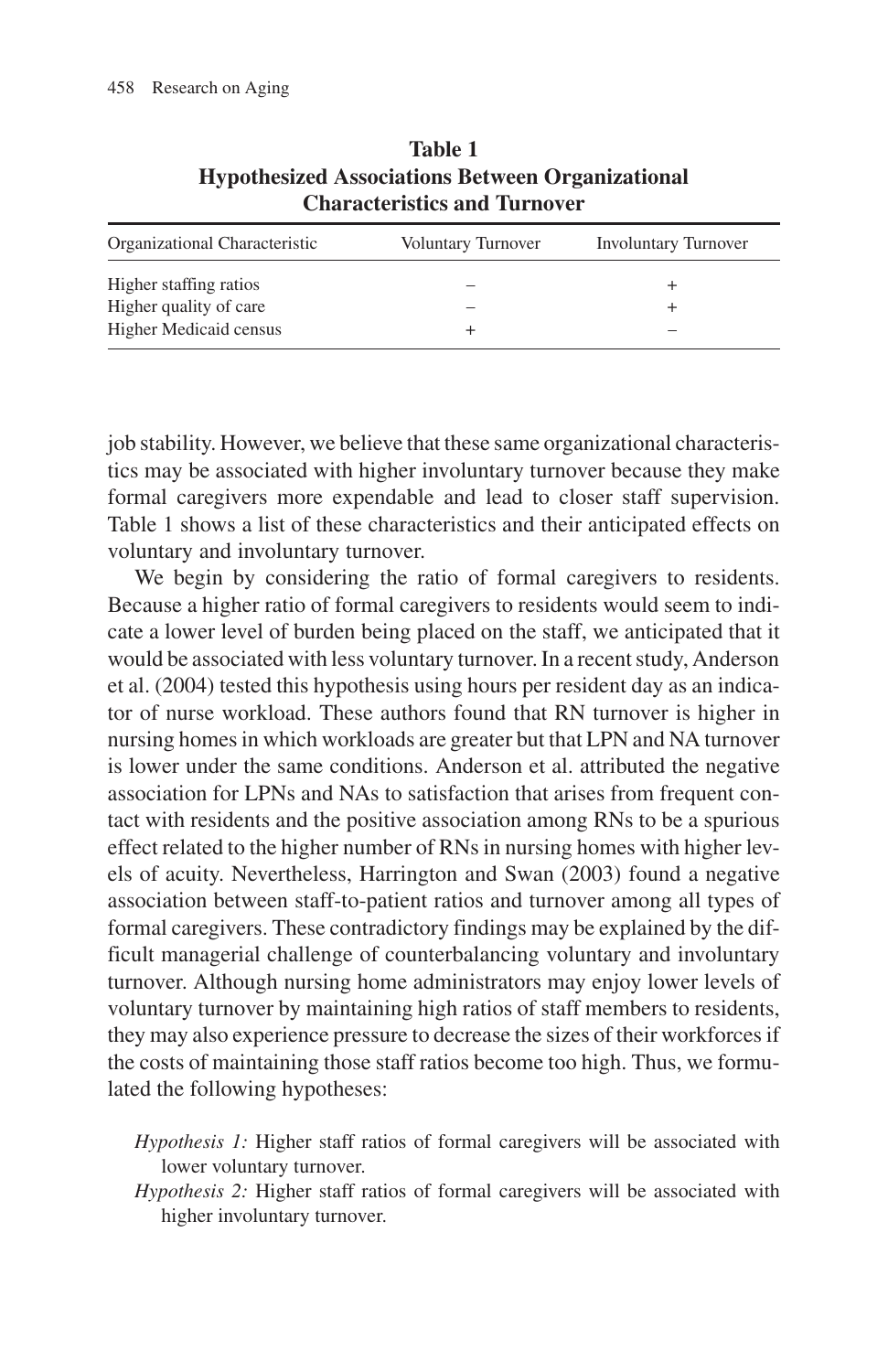| Organizational Characteristic | <b>Voluntary Turnover</b> | <b>Involuntary Turnover</b> |
|-------------------------------|---------------------------|-----------------------------|
| Higher staffing ratios        |                           |                             |
| Higher quality of care        |                           |                             |
| Higher Medicaid census        |                           |                             |

**Table 1 Hypothesized Associations Between Organizational Characteristics and Turnover**

job stability. However, we believe that these same organizational characteristics may be associated with higher involuntary turnover because they make formal caregivers more expendable and lead to closer staff supervision. Table 1 shows a list of these characteristics and their anticipated effects on voluntary and involuntary turnover.

We begin by considering the ratio of formal caregivers to residents. Because a higher ratio of formal caregivers to residents would seem to indicate a lower level of burden being placed on the staff, we anticipated that it would be associated with less voluntary turnover. In a recent study, Anderson et al. (2004) tested this hypothesis using hours per resident day as an indicator of nurse workload. These authors found that RN turnover is higher in nursing homes in which workloads are greater but that LPN and NA turnover is lower under the same conditions. Anderson et al. attributed the negative association for LPNs and NAs to satisfaction that arises from frequent contact with residents and the positive association among RNs to be a spurious effect related to the higher number of RNs in nursing homes with higher levels of acuity. Nevertheless, Harrington and Swan (2003) found a negative association between staff-to-patient ratios and turnover among all types of formal caregivers. These contradictory findings may be explained by the difficult managerial challenge of counterbalancing voluntary and involuntary turnover. Although nursing home administrators may enjoy lower levels of voluntary turnover by maintaining high ratios of staff members to residents, they may also experience pressure to decrease the sizes of their workforces if the costs of maintaining those staff ratios become too high. Thus, we formulated the following hypotheses:

*Hypothesis 1:* Higher staff ratios of formal caregivers will be associated with lower voluntary turnover.

*Hypothesis 2:* Higher staff ratios of formal caregivers will be associated with higher involuntary turnover.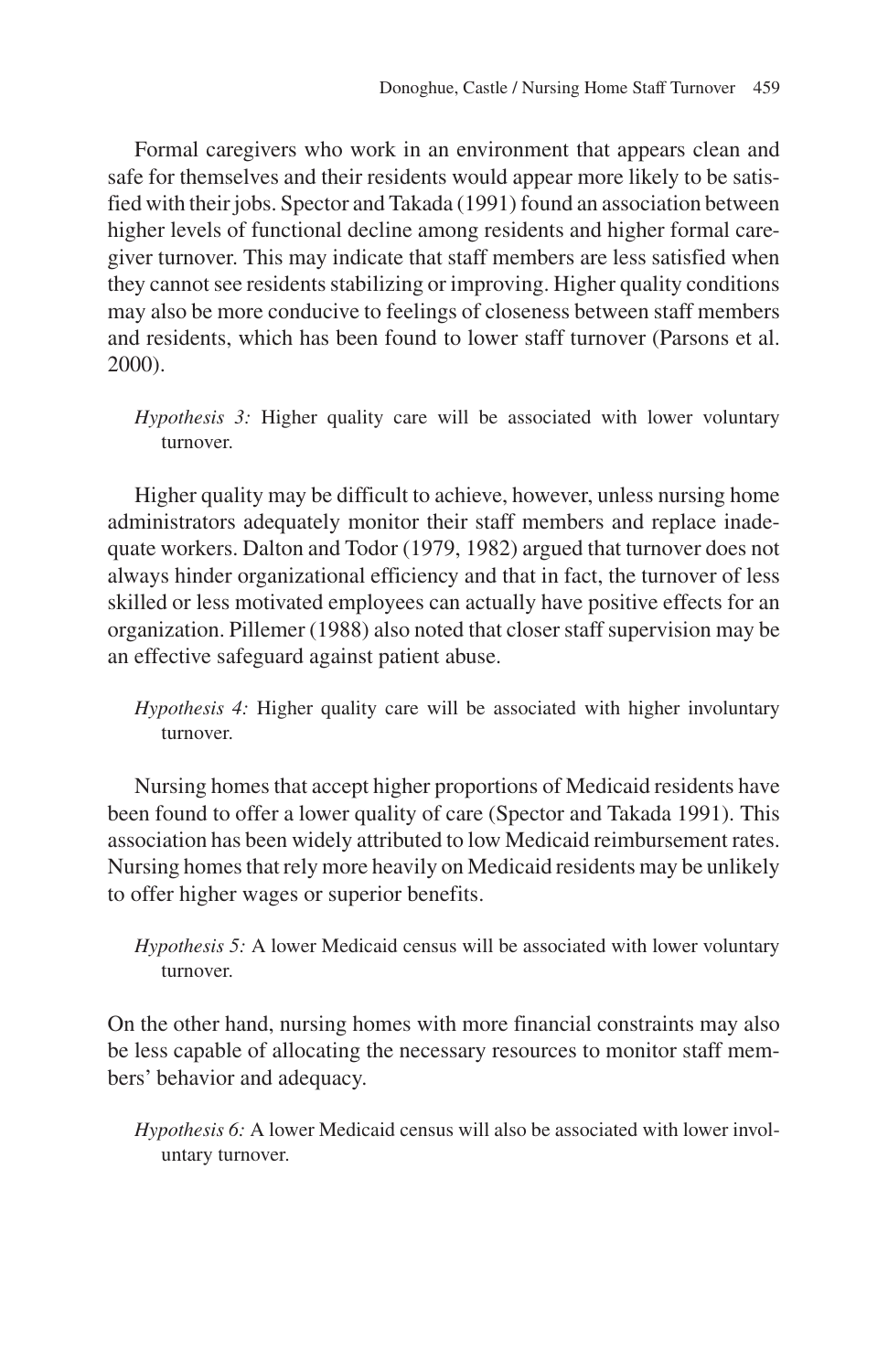Formal caregivers who work in an environment that appears clean and safe for themselves and their residents would appear more likely to be satisfied with their jobs. Spector and Takada (1991) found an association between higher levels of functional decline among residents and higher formal caregiver turnover. This may indicate that staff members are less satisfied when they cannot see residents stabilizing or improving. Higher quality conditions may also be more conducive to feelings of closeness between staff members and residents, which has been found to lower staff turnover (Parsons et al. 2000).

*Hypothesis 3:* Higher quality care will be associated with lower voluntary turnover.

Higher quality may be difficult to achieve, however, unless nursing home administrators adequately monitor their staff members and replace inadequate workers. Dalton and Todor (1979, 1982) argued that turnover does not always hinder organizational efficiency and that in fact, the turnover of less skilled or less motivated employees can actually have positive effects for an organization. Pillemer (1988) also noted that closer staff supervision may be an effective safeguard against patient abuse.

*Hypothesis 4:* Higher quality care will be associated with higher involuntary turnover.

Nursing homes that accept higher proportions of Medicaid residents have been found to offer a lower quality of care (Spector and Takada 1991). This association has been widely attributed to low Medicaid reimbursement rates. Nursing homes that rely more heavily on Medicaid residents may be unlikely to offer higher wages or superior benefits.

*Hypothesis 5:* A lower Medicaid census will be associated with lower voluntary turnover.

On the other hand, nursing homes with more financial constraints may also be less capable of allocating the necessary resources to monitor staff members' behavior and adequacy.

*Hypothesis 6:* A lower Medicaid census will also be associated with lower involuntary turnover.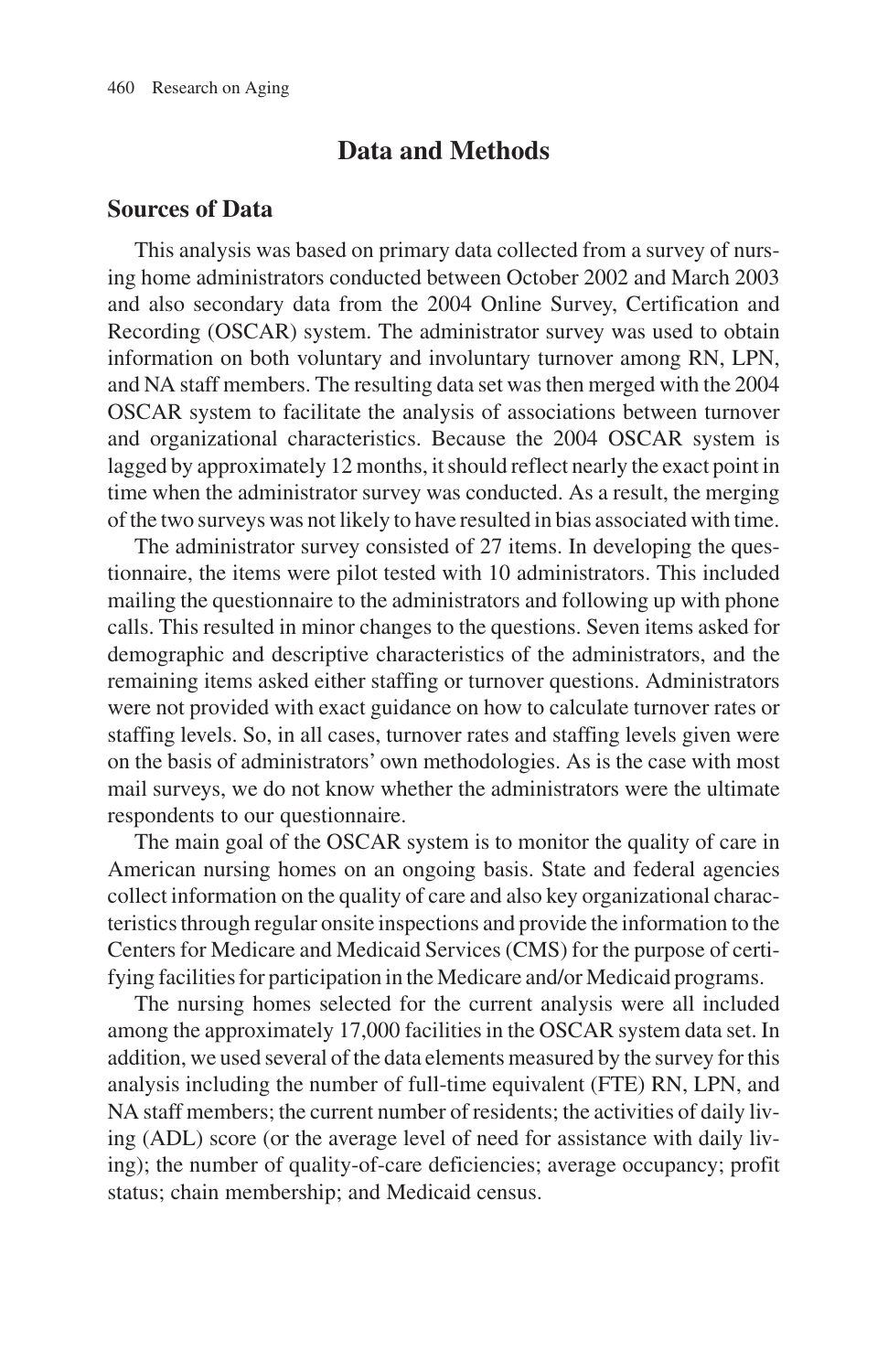### **Data and Methods**

#### **Sources of Data**

This analysis was based on primary data collected from a survey of nursing home administrators conducted between October 2002 and March 2003 and also secondary data from the 2004 Online Survey, Certification and Recording (OSCAR) system. The administrator survey was used to obtain information on both voluntary and involuntary turnover among RN, LPN, and NA staff members. The resulting data set was then merged with the 2004 OSCAR system to facilitate the analysis of associations between turnover and organizational characteristics. Because the 2004 OSCAR system is lagged by approximately 12 months, it should reflect nearly the exact point in time when the administrator survey was conducted. As a result, the merging of the two surveys was not likely to have resulted in bias associated with time.

The administrator survey consisted of 27 items. In developing the questionnaire, the items were pilot tested with 10 administrators. This included mailing the questionnaire to the administrators and following up with phone calls. This resulted in minor changes to the questions. Seven items asked for demographic and descriptive characteristics of the administrators, and the remaining items asked either staffing or turnover questions. Administrators were not provided with exact guidance on how to calculate turnover rates or staffing levels. So, in all cases, turnover rates and staffing levels given were on the basis of administrators' own methodologies. As is the case with most mail surveys, we do not know whether the administrators were the ultimate respondents to our questionnaire.

The main goal of the OSCAR system is to monitor the quality of care in American nursing homes on an ongoing basis. State and federal agencies collect information on the quality of care and also key organizational characteristics through regular onsite inspections and provide the information to the Centers for Medicare and Medicaid Services (CMS) for the purpose of certifying facilities for participation in the Medicare and/or Medicaid programs.

The nursing homes selected for the current analysis were all included among the approximately 17,000 facilities in the OSCAR system data set. In addition, we used several of the data elements measured by the survey for this analysis including the number of full-time equivalent (FTE) RN, LPN, and NA staff members; the current number of residents; the activities of daily living (ADL) score (or the average level of need for assistance with daily living); the number of quality-of-care deficiencies; average occupancy; profit status; chain membership; and Medicaid census.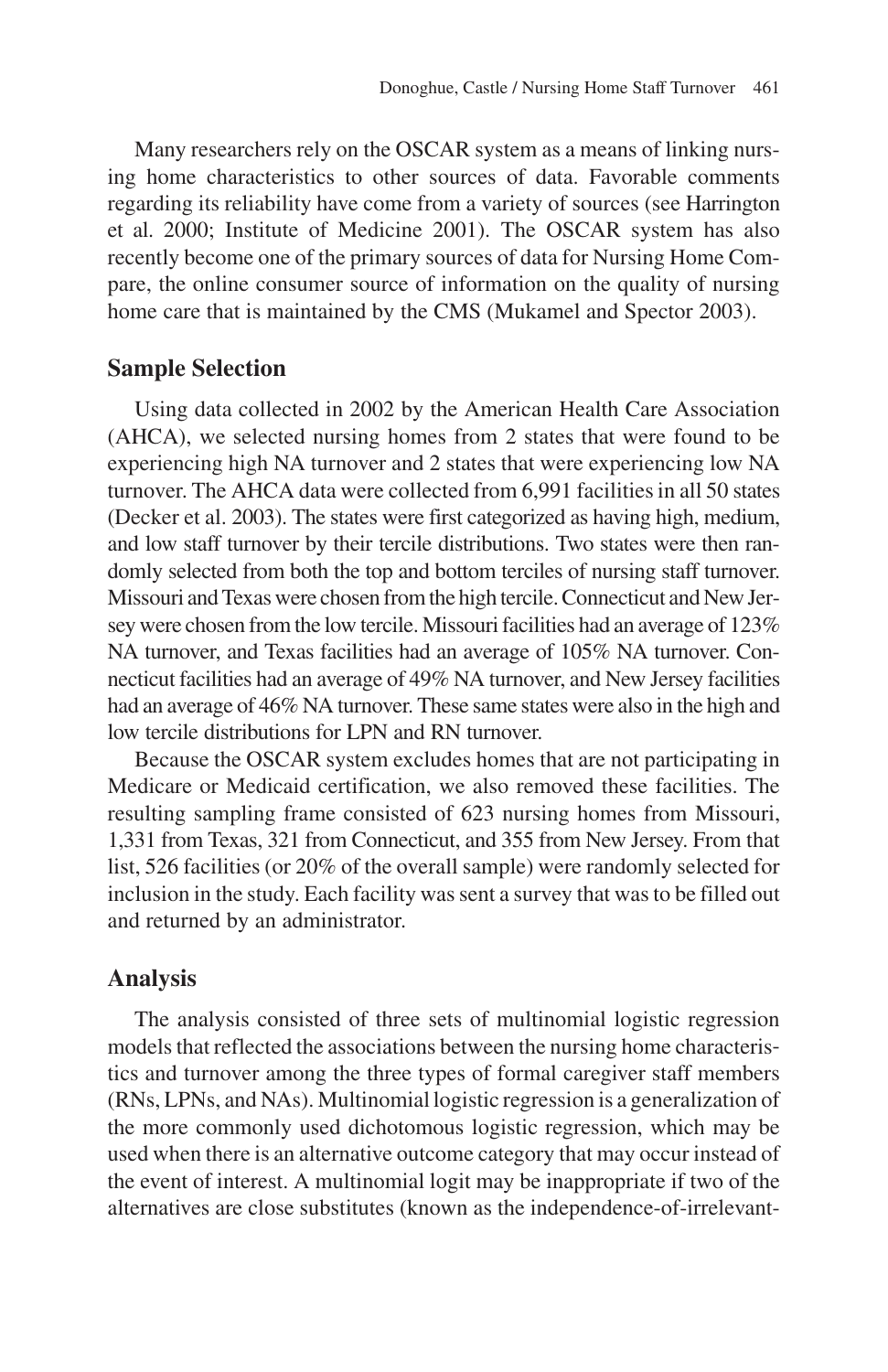Many researchers rely on the OSCAR system as a means of linking nursing home characteristics to other sources of data. Favorable comments regarding its reliability have come from a variety of sources (see Harrington et al. 2000; Institute of Medicine 2001). The OSCAR system has also recently become one of the primary sources of data for Nursing Home Compare, the online consumer source of information on the quality of nursing home care that is maintained by the CMS (Mukamel and Spector 2003).

#### **Sample Selection**

Using data collected in 2002 by the American Health Care Association (AHCA), we selected nursing homes from 2 states that were found to be experiencing high NA turnover and 2 states that were experiencing low NA turnover. The AHCA data were collected from 6,991 facilities in all 50 states (Decker et al. 2003). The states were first categorized as having high, medium, and low staff turnover by their tercile distributions. Two states were then randomly selected from both the top and bottom terciles of nursing staff turnover. Missouri and Texas were chosen from the high tercile. Connecticut and New Jersey were chosen from the low tercile. Missouri facilities had an average of 123% NA turnover, and Texas facilities had an average of 105% NA turnover. Connecticut facilities had an average of 49% NA turnover, and New Jersey facilities had an average of 46% NA turnover. These same states were also in the high and low tercile distributions for LPN and RN turnover.

Because the OSCAR system excludes homes that are not participating in Medicare or Medicaid certification, we also removed these facilities. The resulting sampling frame consisted of 623 nursing homes from Missouri, 1,331 from Texas, 321 from Connecticut, and 355 from New Jersey. From that list, 526 facilities (or 20% of the overall sample) were randomly selected for inclusion in the study. Each facility was sent a survey that was to be filled out and returned by an administrator.

#### **Analysis**

The analysis consisted of three sets of multinomial logistic regression models that reflected the associations between the nursing home characteristics and turnover among the three types of formal caregiver staff members (RNs, LPNs, and NAs). Multinomial logistic regression is a generalization of the more commonly used dichotomous logistic regression, which may be used when there is an alternative outcome category that may occur instead of the event of interest. A multinomial logit may be inappropriate if two of the alternatives are close substitutes (known as the independence-of-irrelevant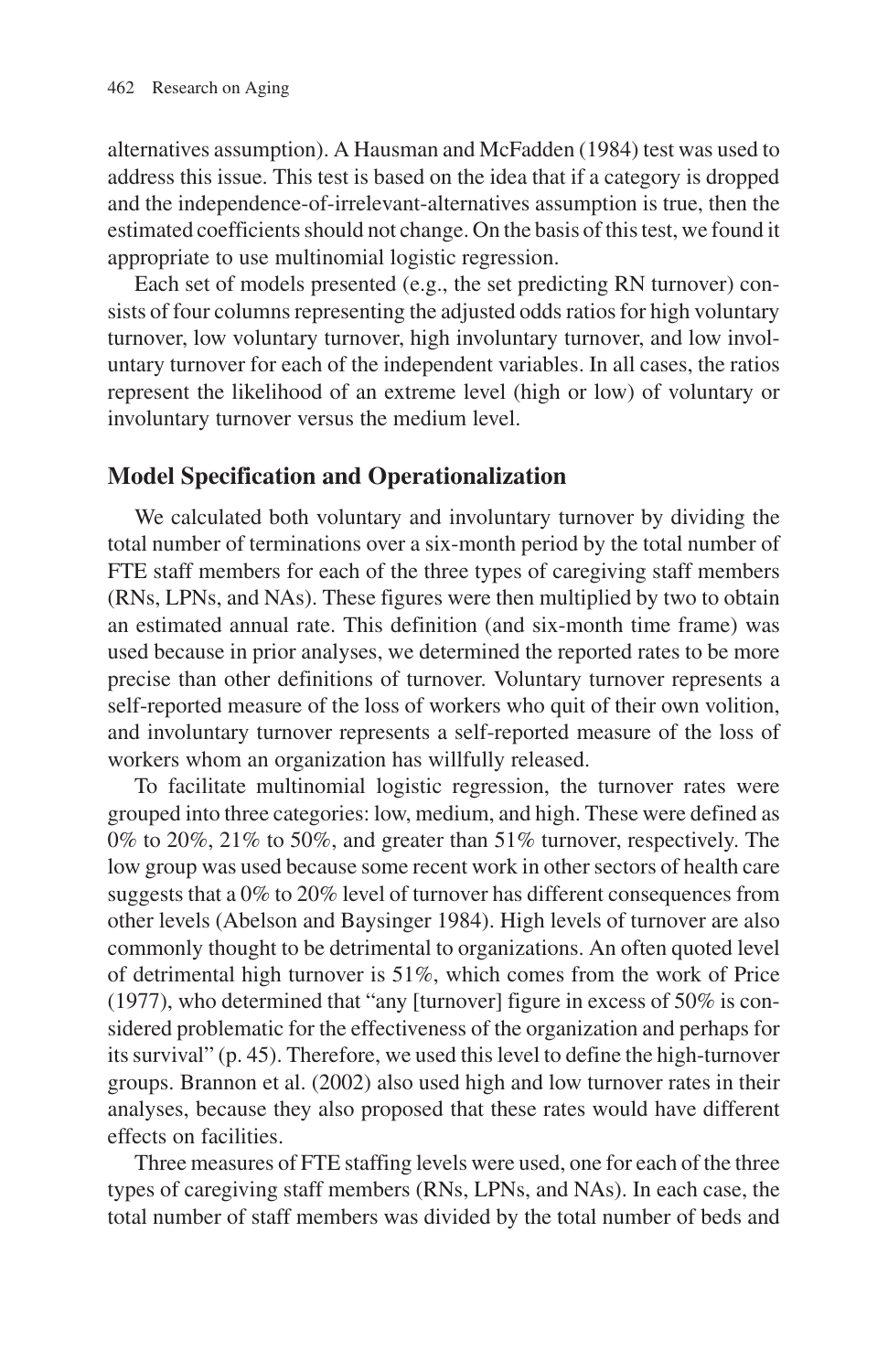alternatives assumption). A Hausman and McFadden (1984) test was used to address this issue. This test is based on the idea that if a category is dropped and the independence-of-irrelevant-alternatives assumption is true, then the estimated coefficients should not change. On the basis of this test, we found it appropriate to use multinomial logistic regression.

Each set of models presented (e.g., the set predicting RN turnover) consists of four columns representing the adjusted odds ratios for high voluntary turnover, low voluntary turnover, high involuntary turnover, and low involuntary turnover for each of the independent variables. In all cases, the ratios represent the likelihood of an extreme level (high or low) of voluntary or involuntary turnover versus the medium level.

#### **Model Specification and Operationalization**

We calculated both voluntary and involuntary turnover by dividing the total number of terminations over a six-month period by the total number of FTE staff members for each of the three types of caregiving staff members (RNs, LPNs, and NAs). These figures were then multiplied by two to obtain an estimated annual rate. This definition (and six-month time frame) was used because in prior analyses, we determined the reported rates to be more precise than other definitions of turnover. Voluntary turnover represents a self-reported measure of the loss of workers who quit of their own volition, and involuntary turnover represents a self-reported measure of the loss of workers whom an organization has willfully released.

To facilitate multinomial logistic regression, the turnover rates were grouped into three categories: low, medium, and high. These were defined as 0% to 20%, 21% to 50%, and greater than 51% turnover, respectively. The low group was used because some recent work in other sectors of health care suggests that a 0% to 20% level of turnover has different consequences from other levels (Abelson and Baysinger 1984). High levels of turnover are also commonly thought to be detrimental to organizations. An often quoted level of detrimental high turnover is 51%, which comes from the work of Price (1977), who determined that "any [turnover] figure in excess of 50% is considered problematic for the effectiveness of the organization and perhaps for its survival" (p. 45). Therefore, we used this level to define the high-turnover groups. Brannon et al. (2002) also used high and low turnover rates in their analyses, because they also proposed that these rates would have different effects on facilities.

Three measures of FTE staffing levels were used, one for each of the three types of caregiving staff members (RNs, LPNs, and NAs). In each case, the total number of staff members was divided by the total number of beds and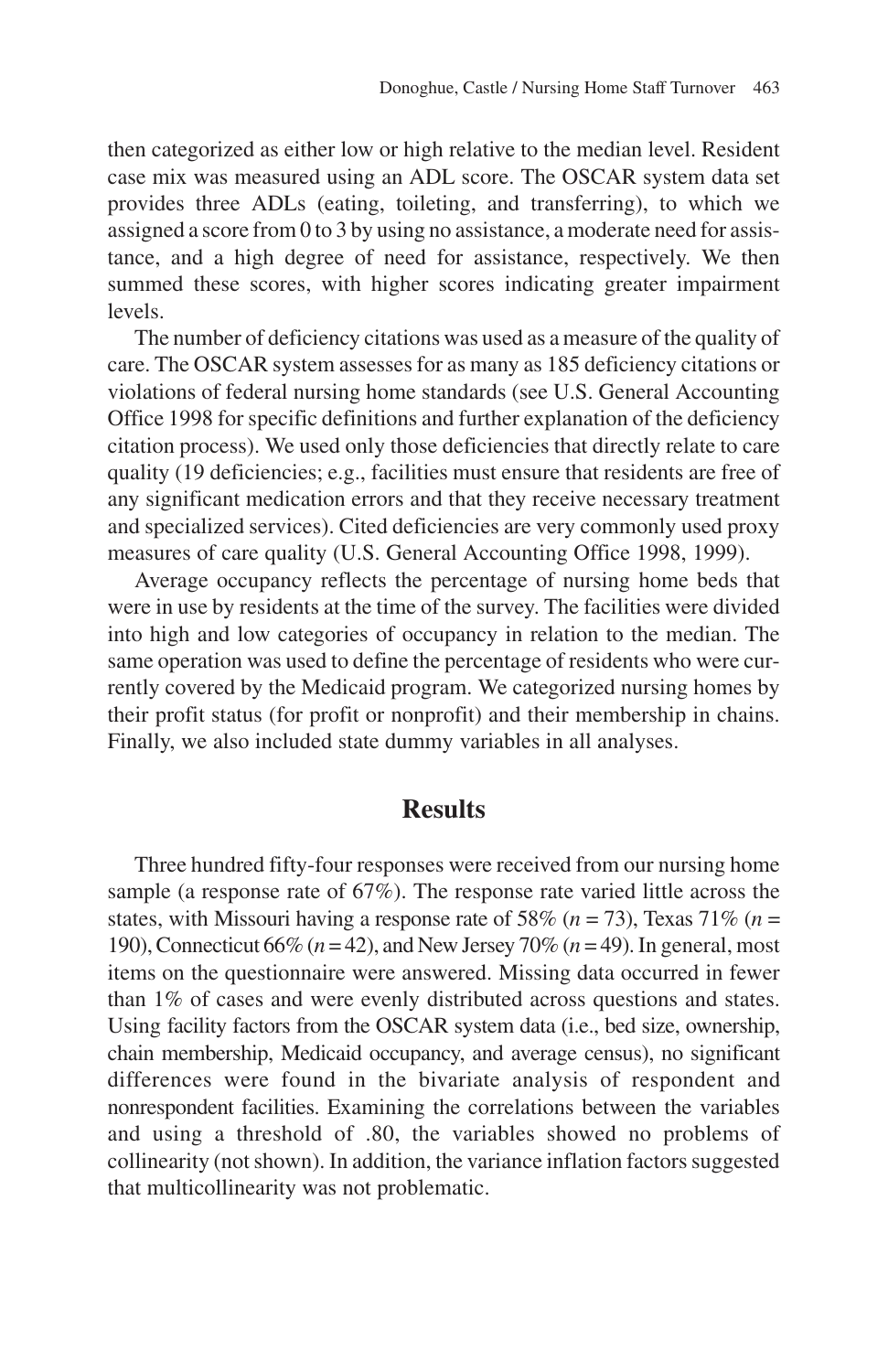then categorized as either low or high relative to the median level. Resident case mix was measured using an ADL score. The OSCAR system data set provides three ADLs (eating, toileting, and transferring), to which we assigned a score from 0 to 3 by using no assistance, a moderate need for assistance, and a high degree of need for assistance, respectively. We then summed these scores, with higher scores indicating greater impairment levels.

The number of deficiency citations was used as a measure of the quality of care. The OSCAR system assesses for as many as 185 deficiency citations or violations of federal nursing home standards (see U.S. General Accounting Office 1998 for specific definitions and further explanation of the deficiency citation process). We used only those deficiencies that directly relate to care quality (19 deficiencies; e.g., facilities must ensure that residents are free of any significant medication errors and that they receive necessary treatment and specialized services). Cited deficiencies are very commonly used proxy measures of care quality (U.S. General Accounting Office 1998, 1999).

Average occupancy reflects the percentage of nursing home beds that were in use by residents at the time of the survey. The facilities were divided into high and low categories of occupancy in relation to the median. The same operation was used to define the percentage of residents who were currently covered by the Medicaid program. We categorized nursing homes by their profit status (for profit or nonprofit) and their membership in chains. Finally, we also included state dummy variables in all analyses.

### **Results**

Three hundred fifty-four responses were received from our nursing home sample (a response rate of 67%). The response rate varied little across the states, with Missouri having a response rate of 58% ( $n = 73$ ), Texas 71% ( $n =$ 190), Connecticut 66% (*n* = 42), and New Jersey 70% (*n* = 49). In general, most items on the questionnaire were answered. Missing data occurred in fewer than 1% of cases and were evenly distributed across questions and states. Using facility factors from the OSCAR system data (i.e., bed size, ownership, chain membership, Medicaid occupancy, and average census), no significant differences were found in the bivariate analysis of respondent and nonrespondent facilities. Examining the correlations between the variables and using a threshold of .80, the variables showed no problems of collinearity (not shown). In addition, the variance inflation factors suggested that multicollinearity was not problematic.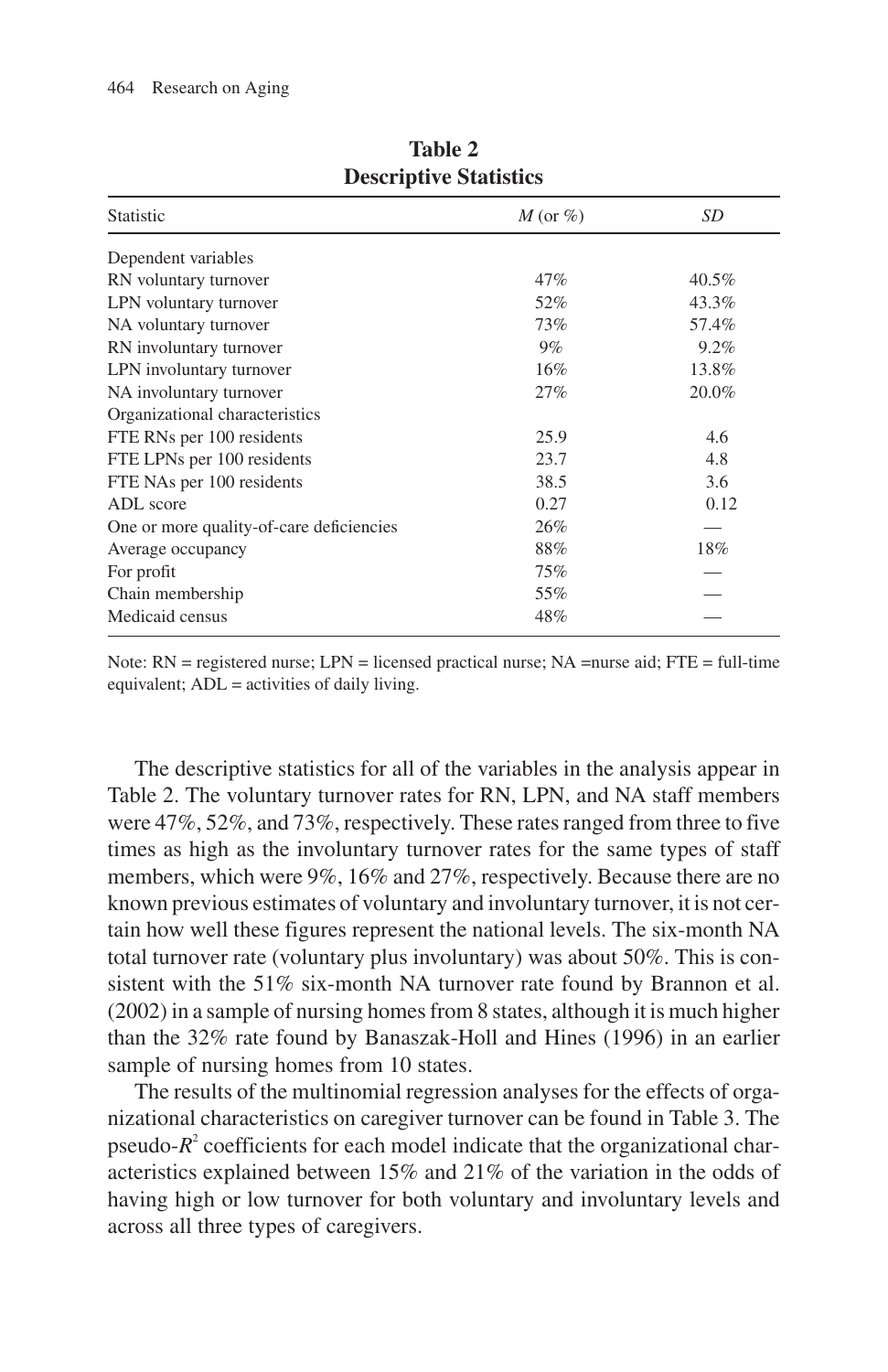| Statistic                                | $M$ (or $%$ ) | SD    |
|------------------------------------------|---------------|-------|
| Dependent variables                      |               |       |
| RN voluntary turnover                    | 47%           | 40.5% |
| LPN voluntary turnover                   | 52%           | 43.3% |
| NA voluntary turnover                    | 73%           | 57.4% |
| RN involuntary turnover                  | 9%            | 9.2%  |
| LPN involuntary turnover                 | 16%           | 13.8% |
| NA involuntary turnover                  | 27%           | 20.0% |
| Organizational characteristics           |               |       |
| FTE RNs per 100 residents                | 25.9          | 4.6   |
| FTE LPNs per 100 residents               | 23.7          | 4.8   |
| FTE NAs per 100 residents                | 38.5          | 3.6   |
| ADL score                                | 0.27          | 0.12  |
| One or more quality-of-care deficiencies | 26%           |       |
| Average occupancy                        | 88%           | 18%   |
| For profit                               | 75%           |       |
| Chain membership                         | 55%           |       |
| Medicaid census                          | 48%           |       |
|                                          |               |       |

**Table 2 Descriptive Statistics**

Note:  $RN =$  registered nurse; LPN = licensed practical nurse;  $NA =$  nurse aid;  $FTE =$  full-time equivalent; ADL = activities of daily living.

The descriptive statistics for all of the variables in the analysis appear in Table 2. The voluntary turnover rates for RN, LPN, and NA staff members were 47%, 52%, and 73%, respectively. These rates ranged from three to five times as high as the involuntary turnover rates for the same types of staff members, which were 9%, 16% and 27%, respectively. Because there are no known previous estimates of voluntary and involuntary turnover, it is not certain how well these figures represent the national levels. The six-month NA total turnover rate (voluntary plus involuntary) was about 50%. This is consistent with the 51% six-month NA turnover rate found by Brannon et al. (2002) in a sample of nursing homes from 8 states, although it is much higher than the 32% rate found by Banaszak-Holl and Hines (1996) in an earlier sample of nursing homes from 10 states.

The results of the multinomial regression analyses for the effects of organizational characteristics on caregiver turnover can be found in Table 3. The pseudo- $R<sup>2</sup>$  coefficients for each model indicate that the organizational characteristics explained between 15% and 21% of the variation in the odds of having high or low turnover for both voluntary and involuntary levels and across all three types of caregivers.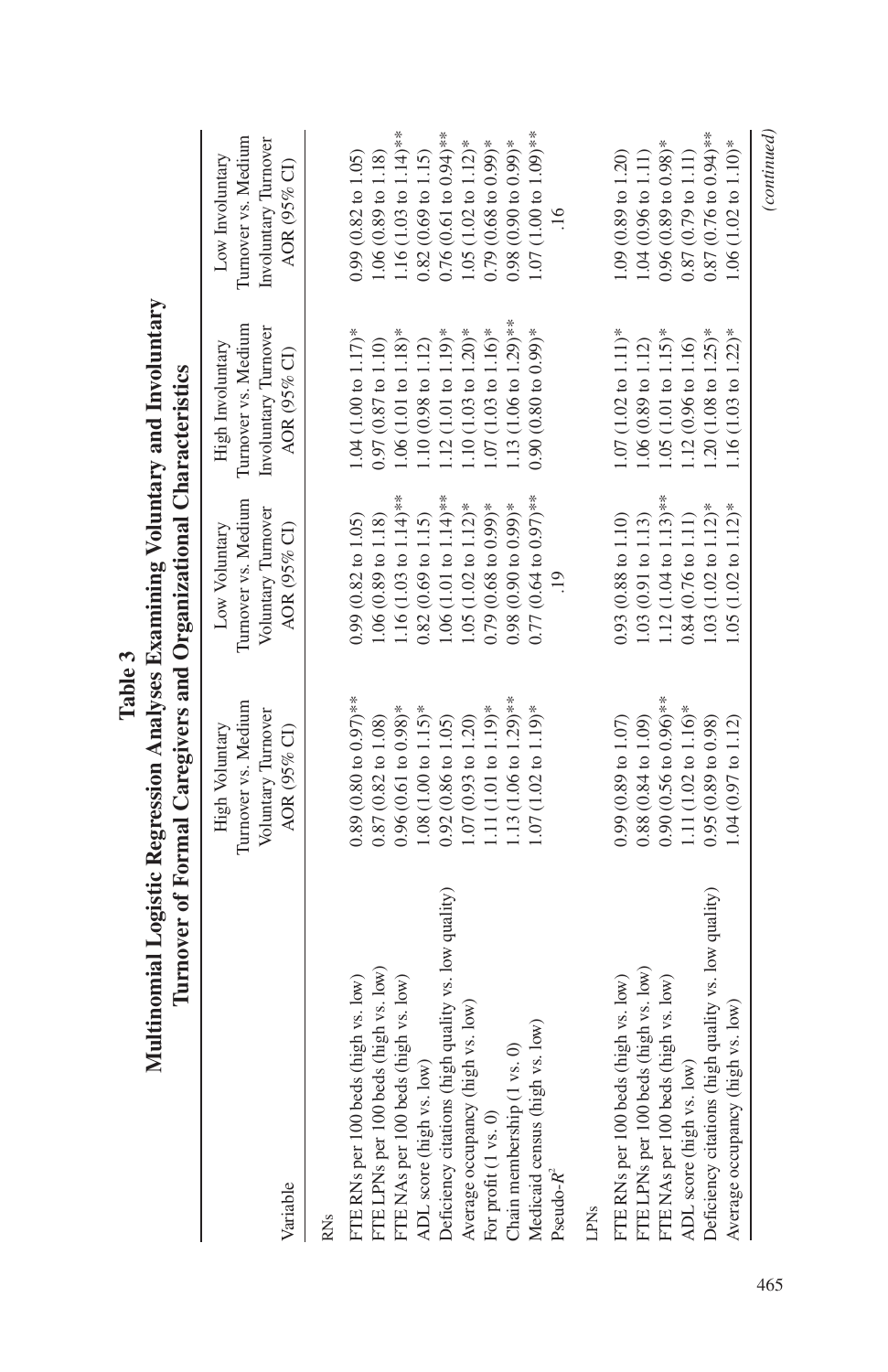|                                                     | Turnover of Formal Caregivers and Organizational Characteristics            |                                                                            |                                                                                 |                                                                                |
|-----------------------------------------------------|-----------------------------------------------------------------------------|----------------------------------------------------------------------------|---------------------------------------------------------------------------------|--------------------------------------------------------------------------------|
| Variable                                            | Turnover vs. Medium<br>Voluntary Turnover<br>High Voluntary<br>AOR (95% CI) | Turnover vs. Medium<br>Voluntary Turnover<br>Low Voluntary<br>AOR (95% CI) | Turnover vs. Medium<br>Involuntary Turnover<br>High Involuntary<br>AOR (95% CI) | Turnover vs. Medium<br>Involuntary Turnover<br>Low Involuntary<br>AOR (95% CI) |
| <b>RNs</b>                                          |                                                                             |                                                                            |                                                                                 |                                                                                |
| FTE RNs per 100 beds (high vs. low)                 | $0.89(0.80 to 0.97)$ **                                                     | $0.99(0.82 \text{ to } 1.05)$                                              | $1.04(1.00 to 1.17)$ *                                                          | $0.99(0.82 \text{ to } 1.05)$                                                  |
| FTE LPNs per 100 beds (high vs. low)                | $0.87(0.82 \text{ to } 1.08)$                                               | 1.06 (0.89 to 1.18)                                                        | $0.97(0.87 \text{ to } 1.10)$                                                   | $1.06(0.89 \text{ to } 1.18)$                                                  |
| FTE NAs per 100 beds (high vs. low)                 | $0.96(0.61 to 0.98)$ *                                                      | 1.16 (1.03 to 1.14)**                                                      | $1.06(1.01 to 1.18)$ *                                                          | 1.16 (1.03 to 1.14)**                                                          |
| ADL score (high vs. low)                            | $1.08$ (1.00 to 1.15)*                                                      | $0.82(0.69 \text{ to } 1.15)$                                              | $1.10(0.98 \text{ to } 1.12)$                                                   | $0.82(0.69 \text{ to } 1.15)$                                                  |
| Deficiency citations (high quality vs. low quality) | 0.92(0.86 to 1.05)                                                          | 1.06 (1.01 to 1.14)**                                                      | $1.12(1.01 to 1.19)$ *                                                          | $0.76(0.61 to 0.94)$ **                                                        |
| Average occupancy (high vs. low)                    | $1.07(0.93 \text{ to } 1.20)$                                               | $1.05$ (1.02 to $1.12$ )*                                                  | $1.10(1.03 \text{ to } 1.20)$ *                                                 | $1.05(1.02 \text{ to } 1.12)^*$                                                |
| For profit (1 vs. 0)                                | 1.11 (1.01 to $1.19$ )*                                                     | $0.79(0.68 \text{ to } 0.99)$ *                                            | $1.07(1.03 \text{ to } 1.16)^*$                                                 | $0.79(0.68 \text{ to } 0.99)$ *                                                |
| Chain membership (1 vs. 0)                          | 1.13 (1.06 to 1.29)**                                                       | $0.98(0.90 to 0.99)$ *                                                     | 1.13 (1.06 to 1.29)**                                                           | $0.98(0.90\text{ to }0.99)$ *                                                  |
| Medicaid census (high vs. low)                      | $1.07(1.02 \text{ to } 1.19)^*$                                             | $0.77(0.64 \text{ to } 0.97)$ **                                           | $0.90(0.80 \text{ to } 0.99)^*$                                                 | $1.07(1.00 to 1.09)$ **                                                        |
| Pseudo- $R^2$                                       |                                                                             |                                                                            |                                                                                 |                                                                                |
| LPNs                                                |                                                                             |                                                                            |                                                                                 |                                                                                |
| FTE RNs per 100 beds (high vs. low)                 | $0.99(0.89 \text{ to } 1.07)$                                               | $0.93(0.88 \text{ to } 1.10)$                                              | $1.07(1.02 \text{ to } 1.11)^*$                                                 | 1.09 (0.89 to 1.20)                                                            |
| FTE LPNs per 100 beds (high vs. low)                | $0.88(0.84 \text{ to } 1.09)$                                               | 1.03(0.91 to 1.13)                                                         | $1.06(0.89 \text{ to } 1.12)$                                                   | $1.04(0.96 \text{ to } 1.11)$                                                  |
| FTE NAs per 100 beds (high vs. low)                 | $0.90(0.56 to 0.96)$ **                                                     | $1.12$ (1.04 to 1.13)**                                                    | $1.05(1.01 to 1.15)$ *                                                          | $0.96(0.89 \text{ to } 0.98)$ *                                                |
| ADL score (high vs. low)                            | 1.11 (1.02 to 1.16)*                                                        | $0.84(0.76 \text{ to } 1.11)$                                              | $1.12(0.96 \text{ to } 1.16)$                                                   | $0.87(0.79 \text{ to } 1.11)$                                                  |
| Deficiency citations (high quality vs. low quality) | 0.95(0.89 to 0.98)                                                          | $1.03$ (1.02 to $1.12$ )*                                                  | $1.20(1.08 \text{ to } 1.25)^*$                                                 | $0.87(0.76 \text{ to } 0.94)$ **                                               |
| Average occupancy (high vs. low)                    | 1.04(0.97 to 1.12)                                                          | $1.05$ (1.02 to $1.12$ )*                                                  | $1.16(1.03 \text{ to } 1.22)^*$                                                 | $1.06(1.02 \text{ to } 1.10)*$                                                 |
|                                                     |                                                                             |                                                                            |                                                                                 | (continued)                                                                    |

Table 3<br>Multinomial Logistic Regression Analyses Examining Voluntary and Involuntary **Multinomial Logistic Regression Analyses Examining Voluntary and Involuntary**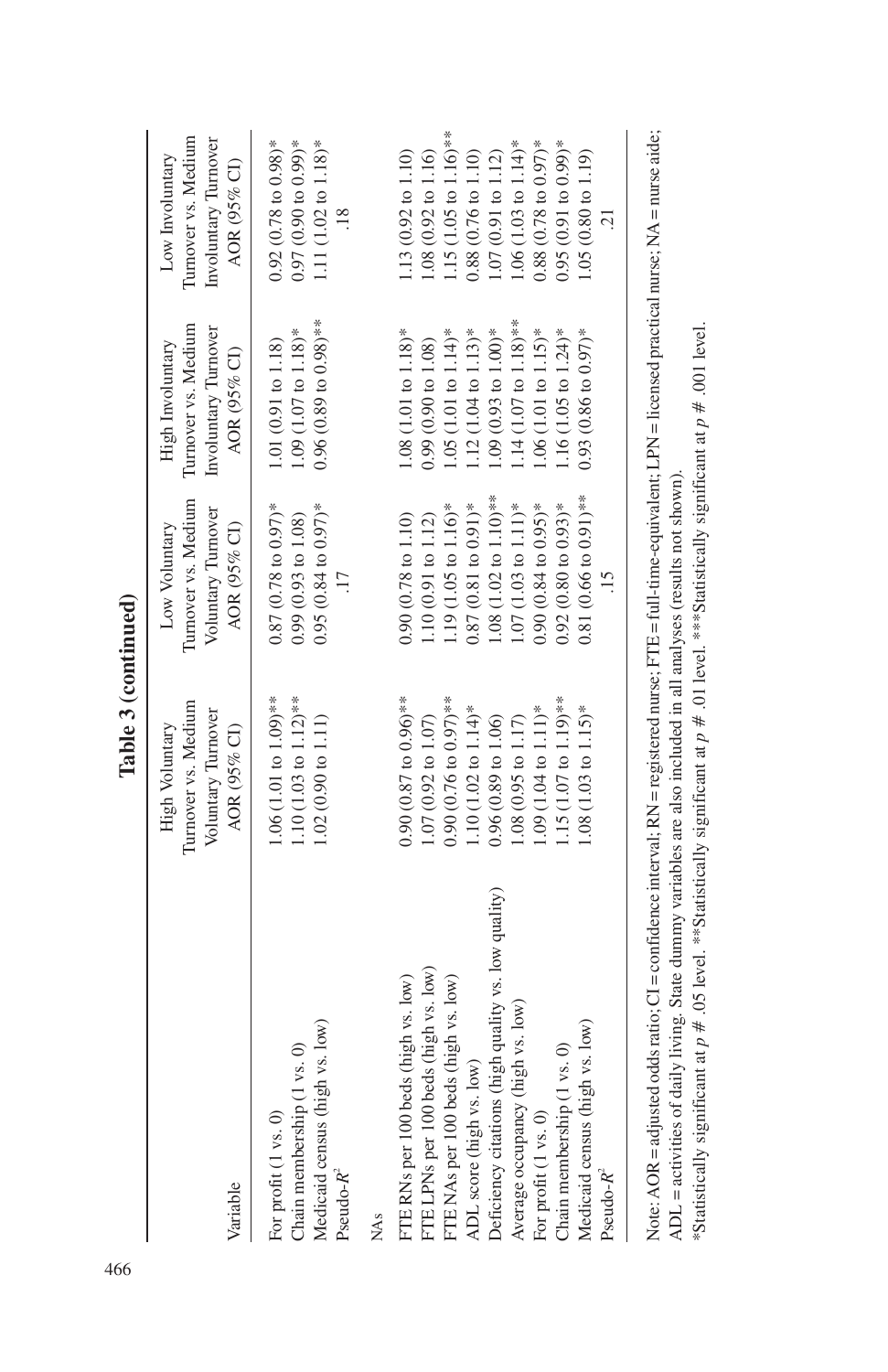| Variable                                                                                                           | Turnover vs. Medium<br>Voluntary Turnover<br>High Voluntary<br>AOR (95% CI)        | Turnover vs. Medium<br>Voluntary Turnover<br>Low Voluntary<br>AOR (95% CI)               | Turnover vs. Medium<br>Involuntary Turnover<br>High Involuntary<br>AOR (95% CI)            | Turnover vs. Medium<br>Involuntary Turnover<br>Low Involuntary<br>AOR (95% CI)       |
|--------------------------------------------------------------------------------------------------------------------|------------------------------------------------------------------------------------|------------------------------------------------------------------------------------------|--------------------------------------------------------------------------------------------|--------------------------------------------------------------------------------------|
| Medicaid census (high vs. low)<br>Chain membership (1 vs. 0)<br>For profit (1 vs. 0)<br>Pseudo- $R2$               | 1.06 (1.01 to 1.09)**<br>1.10 (1.03 to 1.12)**<br>1.02(0.90 to 1.11)               | $0.87(0.78 \text{ to } 0.97)$ *<br>$0.95(0.84 \text{ to } 0.97)^*$<br>0.99(0.93 to 1.08) | $0.96(0.89 \text{ to } 0.98)$ **<br>$1.09(1.07 \text{ to } 1.18)$ *<br>1.01 (0.91 to 1.18) | 1.11 (1.02 to $1.18$ )*<br>$0.92(0.78 \text{ to } 0.98)$ *<br>$0.97(0.90 to 0.99)^*$ |
| <b>NAs</b>                                                                                                         |                                                                                    |                                                                                          |                                                                                            |                                                                                      |
| FTE LPNs per 100 beds (high vs. low)<br>FTE RNs per 100 beds (high vs. low)<br>FTE NAs per 100 beds (high vs. low) | $0.90(0.87 \text{ to } 0.96)$ **<br>$0.90(0.76 to 0.97)$ **<br>1.07 (0.92 to 1.07) | $1.19(1.05 \text{ to } 1.16)^*$<br>$0.90(0.78 \text{ to } 1.10)$<br>1.10(0.91 to 1.12)   | $1.08(1.01 to 1.18)$ <sup>*</sup><br>$1.05(1.01 to 1.14)$ *<br>0.99(0.90 to 1.08)          | 1.15 (1.05 to 1.16)**<br>1.08 (0.92 to 1.16)<br>1.13 (0.92 to 1.10)                  |
| Deficiency citations (high quality vs. low quality)<br>ADL score (high vs. low                                     | 1.10 (1.02 to $1.14$ )*<br>$0.96(0.89 \text{ to } 1.06)$                           | $1.08(1.02 \text{ to } 1.10)$ **<br>$0.87(0.81 \text{ to } 0.91)^*$                      | $1.12(1.04 \text{ to } 1.13)^*$<br>$1.09(0.93 \text{ to } 1.00)$ *                         | $0.88(0.76 \text{ to } 1.10)$<br>1.07(0.91 to 1.12)                                  |
| Average occupancy (high vs. low)                                                                                   | 1.08 (0.95 to 1.17)                                                                | $1.07(1.03 \text{ to } 1.11)^*$                                                          | $1.14(1.07 \text{ to } 1.18)$ <sup>**</sup>                                                | $1.06$ (1.03 to $1.14$ )*                                                            |
| For profit $(1 \text{ vs. } 0)$                                                                                    | $1.09$ $(1.04$ to $1.11$ <sup>*</sup>                                              | $0.90(0.84 \text{ to } 0.95)$ *                                                          | $1.06(1.01 \text{ to } 1.15)^*$                                                            | $0.88(0.78 \text{ to } 0.97)$ *                                                      |
| Chain membership (1 vs. 0)                                                                                         | $1.15(1.07 \text{ to } 1.19)$ <sup>**</sup>                                        | $0.92(0.80)$ to $0.93$ <sup>*</sup>                                                      | $1.16(1.05 \text{ to } 1.24)^*$                                                            | $0.95(0.91 to 0.99)^*$                                                               |
| Medicaid census (high vs. low)                                                                                     | $1.08$ (1.03 to 1.15)*                                                             | $0.81(0.66 to 0.91)$ **                                                                  | $0.93(0.86 \text{ to } 0.97)$ *                                                            | $1.05(0.80 \text{ to } 1.19)$                                                        |
| Pseudo- $R$                                                                                                        |                                                                                    |                                                                                          |                                                                                            | Ŋ                                                                                    |
| たくしゃ こうこう こうしょう しんく こうしゃ                                                                                           | 一个人,一个人,一个人的人,一个人,一个人,不是一个人的人,一个人,一个人的人,一个人的人,一个人的人,一个人的人,一个人的人,一个人的人,一个人的人,一个人的人  |                                                                                          |                                                                                            | $\frac{1}{2}$                                                                        |

Note: AOR = adjusted odds ratio; CI = confidence interval; RN = registered nurse; FTE = full-time-equivalent; LPN = licensed practical nurse; NA = nurse aide; Note: AOR = adjusted odds ratio; CI = confidence interval; RN = registered nurse; FTE = full-time-equivalent; LPN = licensed practical nurse; NA = nurse aide; ADL = activities of daily living. State dummy variables are also included in all analyses (results not shown). ADL = activities of daily living. State dummy variables are also included in all analyses (results not shown).

\*Statistically significant at  $p \neq 0.5$  level. \*\*Statistically significant at  $p \neq 0.01$  level. \*\*\*Statistically significant at  $p \neq 0.001$  level. \*Statistically significant at *p* # .05 level. \*\*Statistically significant at *p* # .01 level. \*\*\*Statistically significant at *p* # .001 level.

Table 3 (continued) 466**Table 3 (continued)**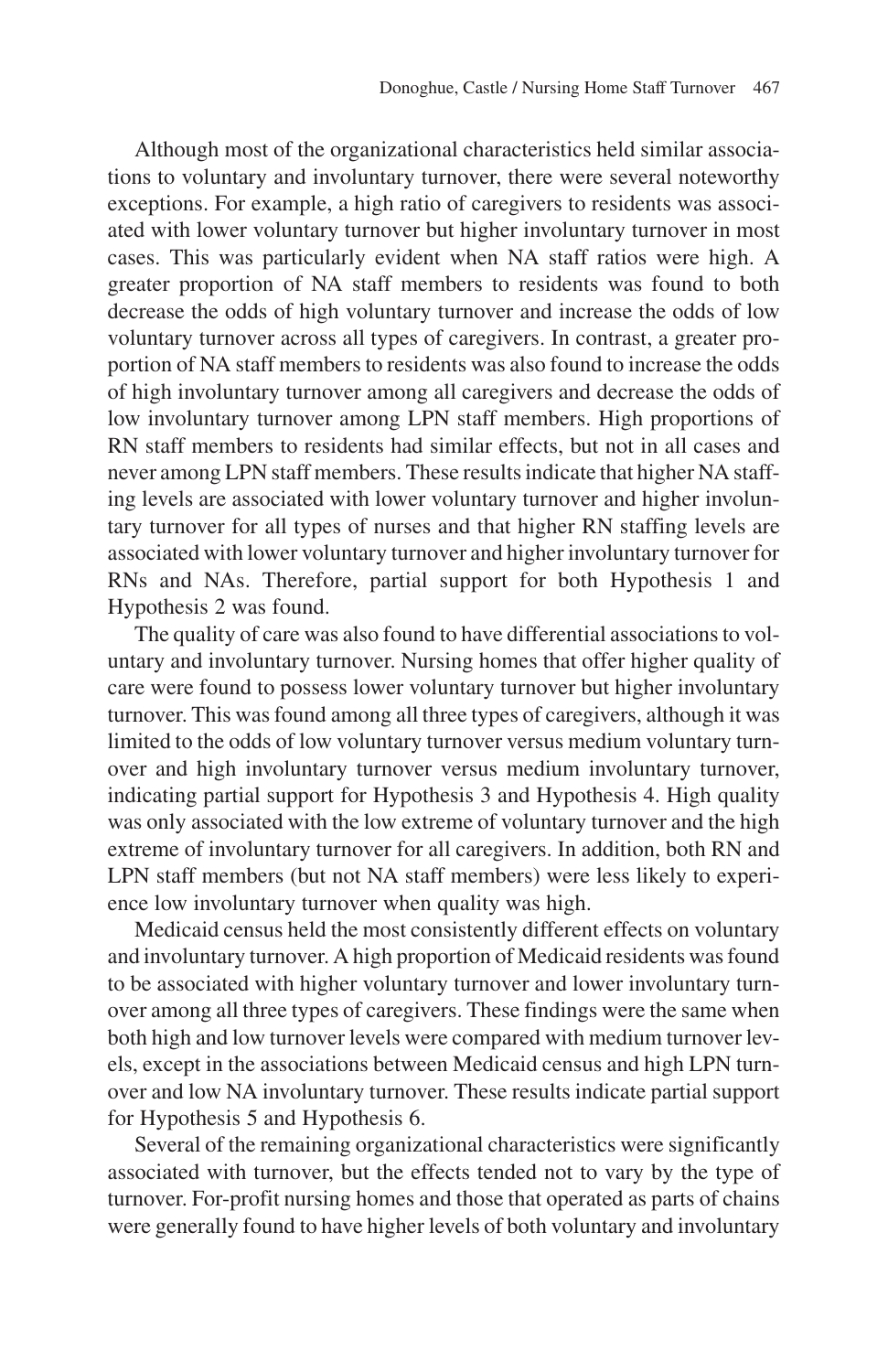Although most of the organizational characteristics held similar associations to voluntary and involuntary turnover, there were several noteworthy exceptions. For example, a high ratio of caregivers to residents was associated with lower voluntary turnover but higher involuntary turnover in most cases. This was particularly evident when NA staff ratios were high. A greater proportion of NA staff members to residents was found to both decrease the odds of high voluntary turnover and increase the odds of low voluntary turnover across all types of caregivers. In contrast, a greater proportion of NA staff members to residents was also found to increase the odds of high involuntary turnover among all caregivers and decrease the odds of low involuntary turnover among LPN staff members. High proportions of RN staff members to residents had similar effects, but not in all cases and never among LPN staff members. These results indicate that higher NA staffing levels are associated with lower voluntary turnover and higher involuntary turnover for all types of nurses and that higher RN staffing levels are associated with lower voluntary turnover and higher involuntary turnover for RNs and NAs. Therefore, partial support for both Hypothesis 1 and Hypothesis 2 was found.

The quality of care was also found to have differential associations to voluntary and involuntary turnover. Nursing homes that offer higher quality of care were found to possess lower voluntary turnover but higher involuntary turnover. This was found among all three types of caregivers, although it was limited to the odds of low voluntary turnover versus medium voluntary turnover and high involuntary turnover versus medium involuntary turnover, indicating partial support for Hypothesis 3 and Hypothesis 4. High quality was only associated with the low extreme of voluntary turnover and the high extreme of involuntary turnover for all caregivers. In addition, both RN and LPN staff members (but not NA staff members) were less likely to experience low involuntary turnover when quality was high.

Medicaid census held the most consistently different effects on voluntary and involuntary turnover. A high proportion of Medicaid residents was found to be associated with higher voluntary turnover and lower involuntary turnover among all three types of caregivers. These findings were the same when both high and low turnover levels were compared with medium turnover levels, except in the associations between Medicaid census and high LPN turnover and low NA involuntary turnover. These results indicate partial support for Hypothesis 5 and Hypothesis 6.

Several of the remaining organizational characteristics were significantly associated with turnover, but the effects tended not to vary by the type of turnover. For-profit nursing homes and those that operated as parts of chains were generally found to have higher levels of both voluntary and involuntary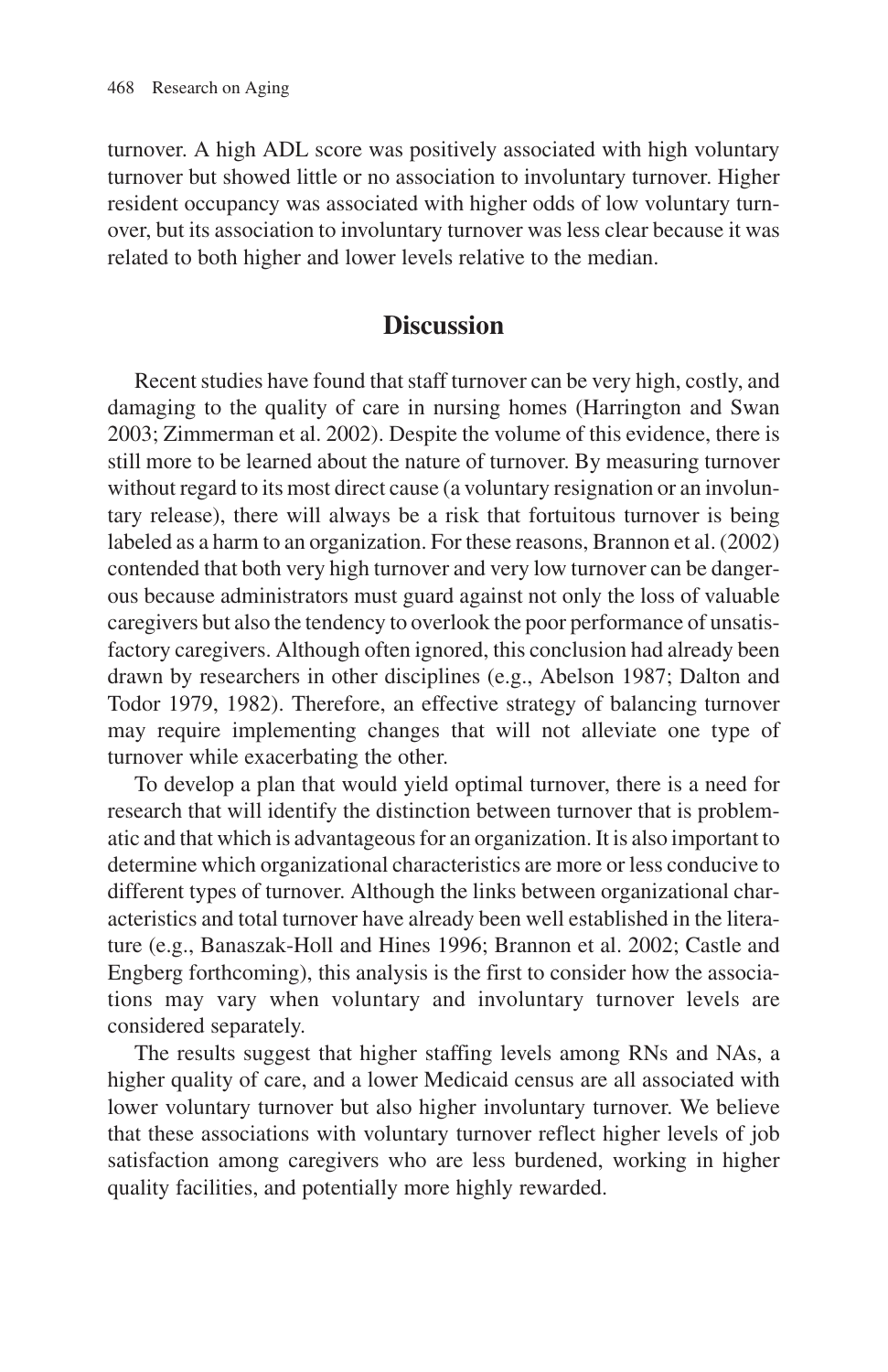turnover. A high ADL score was positively associated with high voluntary turnover but showed little or no association to involuntary turnover. Higher resident occupancy was associated with higher odds of low voluntary turnover, but its association to involuntary turnover was less clear because it was related to both higher and lower levels relative to the median.

## **Discussion**

Recent studies have found that staff turnover can be very high, costly, and damaging to the quality of care in nursing homes (Harrington and Swan 2003; Zimmerman et al. 2002). Despite the volume of this evidence, there is still more to be learned about the nature of turnover. By measuring turnover without regard to its most direct cause (a voluntary resignation or an involuntary release), there will always be a risk that fortuitous turnover is being labeled as a harm to an organization. For these reasons, Brannon et al. (2002) contended that both very high turnover and very low turnover can be dangerous because administrators must guard against not only the loss of valuable caregivers but also the tendency to overlook the poor performance of unsatisfactory caregivers. Although often ignored, this conclusion had already been drawn by researchers in other disciplines (e.g., Abelson 1987; Dalton and Todor 1979, 1982). Therefore, an effective strategy of balancing turnover may require implementing changes that will not alleviate one type of turnover while exacerbating the other.

To develop a plan that would yield optimal turnover, there is a need for research that will identify the distinction between turnover that is problematic and that which is advantageous for an organization. It is also important to determine which organizational characteristics are more or less conducive to different types of turnover. Although the links between organizational characteristics and total turnover have already been well established in the literature (e.g., Banaszak-Holl and Hines 1996; Brannon et al. 2002; Castle and Engberg forthcoming), this analysis is the first to consider how the associations may vary when voluntary and involuntary turnover levels are considered separately.

The results suggest that higher staffing levels among RNs and NAs, a higher quality of care, and a lower Medicaid census are all associated with lower voluntary turnover but also higher involuntary turnover. We believe that these associations with voluntary turnover reflect higher levels of job satisfaction among caregivers who are less burdened, working in higher quality facilities, and potentially more highly rewarded.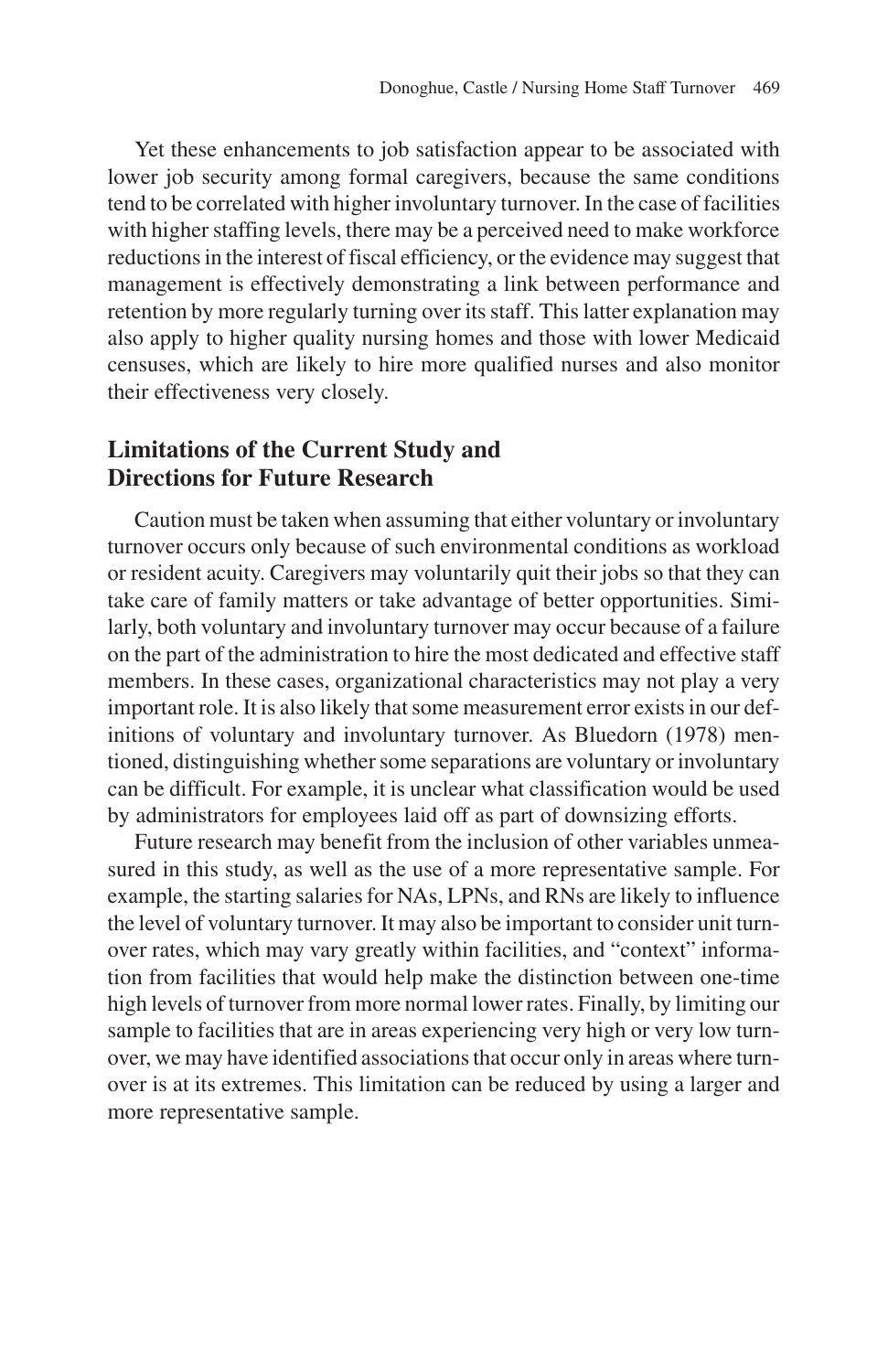Yet these enhancements to job satisfaction appear to be associated with lower job security among formal caregivers, because the same conditions tend to be correlated with higher involuntary turnover. In the case of facilities with higher staffing levels, there may be a perceived need to make workforce reductions in the interest of fiscal efficiency, or the evidence may suggest that management is effectively demonstrating a link between performance and retention by more regularly turning over its staff. This latter explanation may also apply to higher quality nursing homes and those with lower Medicaid censuses, which are likely to hire more qualified nurses and also monitor their effectiveness very closely.

### **Limitations of the Current Study and Directions for Future Research**

Caution must be taken when assuming that either voluntary or involuntary turnover occurs only because of such environmental conditions as workload or resident acuity. Caregivers may voluntarily quit their jobs so that they can take care of family matters or take advantage of better opportunities. Similarly, both voluntary and involuntary turnover may occur because of a failure on the part of the administration to hire the most dedicated and effective staff members. In these cases, organizational characteristics may not play a very important role. It is also likely that some measurement error exists in our definitions of voluntary and involuntary turnover. As Bluedorn (1978) mentioned, distinguishing whether some separations are voluntary or involuntary can be difficult. For example, it is unclear what classification would be used by administrators for employees laid off as part of downsizing efforts.

Future research may benefit from the inclusion of other variables unmeasured in this study, as well as the use of a more representative sample. For example, the starting salaries for NAs, LPNs, and RNs are likely to influence the level of voluntary turnover. It may also be important to consider unit turnover rates, which may vary greatly within facilities, and "context" information from facilities that would help make the distinction between one-time high levels of turnover from more normal lower rates. Finally, by limiting our sample to facilities that are in areas experiencing very high or very low turnover, we may have identified associations that occur only in areas where turnover is at its extremes. This limitation can be reduced by using a larger and more representative sample.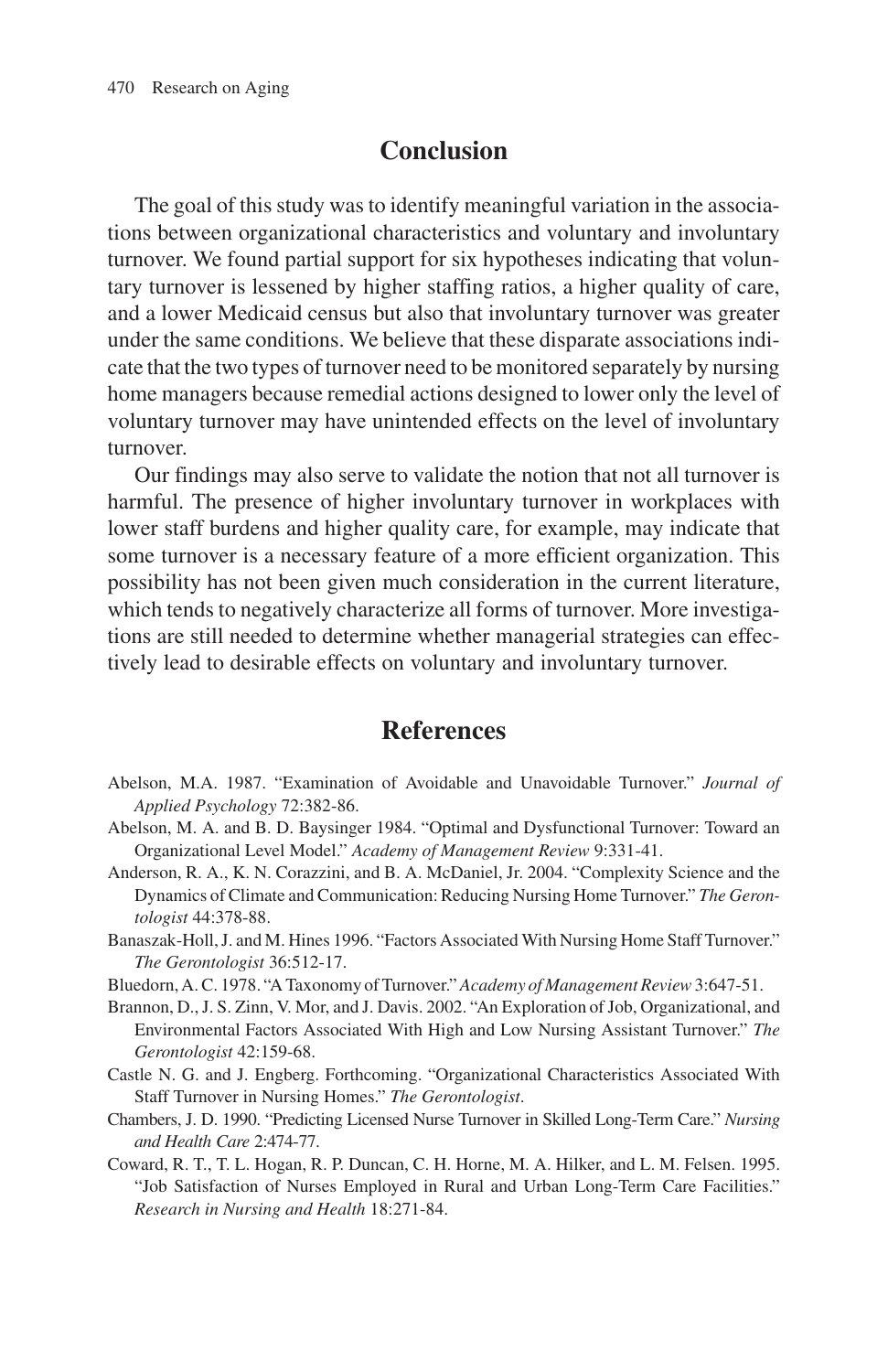# **Conclusion**

The goal of this study was to identify meaningful variation in the associations between organizational characteristics and voluntary and involuntary turnover. We found partial support for six hypotheses indicating that voluntary turnover is lessened by higher staffing ratios, a higher quality of care, and a lower Medicaid census but also that involuntary turnover was greater under the same conditions. We believe that these disparate associations indicate that the two types of turnover need to be monitored separately by nursing home managers because remedial actions designed to lower only the level of voluntary turnover may have unintended effects on the level of involuntary turnover.

Our findings may also serve to validate the notion that not all turnover is harmful. The presence of higher involuntary turnover in workplaces with lower staff burdens and higher quality care, for example, may indicate that some turnover is a necessary feature of a more efficient organization. This possibility has not been given much consideration in the current literature, which tends to negatively characterize all forms of turnover. More investigations are still needed to determine whether managerial strategies can effectively lead to desirable effects on voluntary and involuntary turnover.

#### **References**

- Abelson, M.A. 1987. "Examination of Avoidable and Unavoidable Turnover." *Journal of Applied Psychology* 72:382-86.
- Abelson, M. A. and B. D. Baysinger 1984. "Optimal and Dysfunctional Turnover: Toward an Organizational Level Model." *Academy of Management Review* 9:331-41.
- Anderson, R. A., K. N. Corazzini, and B. A. McDaniel, Jr. 2004. "Complexity Science and the Dynamics of Climate and Communication: Reducing Nursing Home Turnover." *The Gerontologist* 44:378-88.
- Banaszak-Holl, J. and M. Hines 1996. "Factors Associated With Nursing Home Staff Turnover." *The Gerontologist* 36:512-17.
- Bluedorn, A. C. 1978. "A Taxonomy of Turnover." *Academy of Management Review*3:647-51.
- Brannon, D., J. S. Zinn, V. Mor, and J. Davis. 2002. "An Exploration of Job, Organizational, and Environmental Factors Associated With High and Low Nursing Assistant Turnover." *The Gerontologist* 42:159-68.
- Castle N. G. and J. Engberg. Forthcoming. "Organizational Characteristics Associated With Staff Turnover in Nursing Homes." *The Gerontologist*.
- Chambers, J. D. 1990. "Predicting Licensed Nurse Turnover in Skilled Long-Term Care." *Nursing and Health Care* 2:474-77.
- Coward, R. T., T. L. Hogan, R. P. Duncan, C. H. Horne, M. A. Hilker, and L. M. Felsen. 1995. "Job Satisfaction of Nurses Employed in Rural and Urban Long-Term Care Facilities." *Research in Nursing and Health* 18:271-84.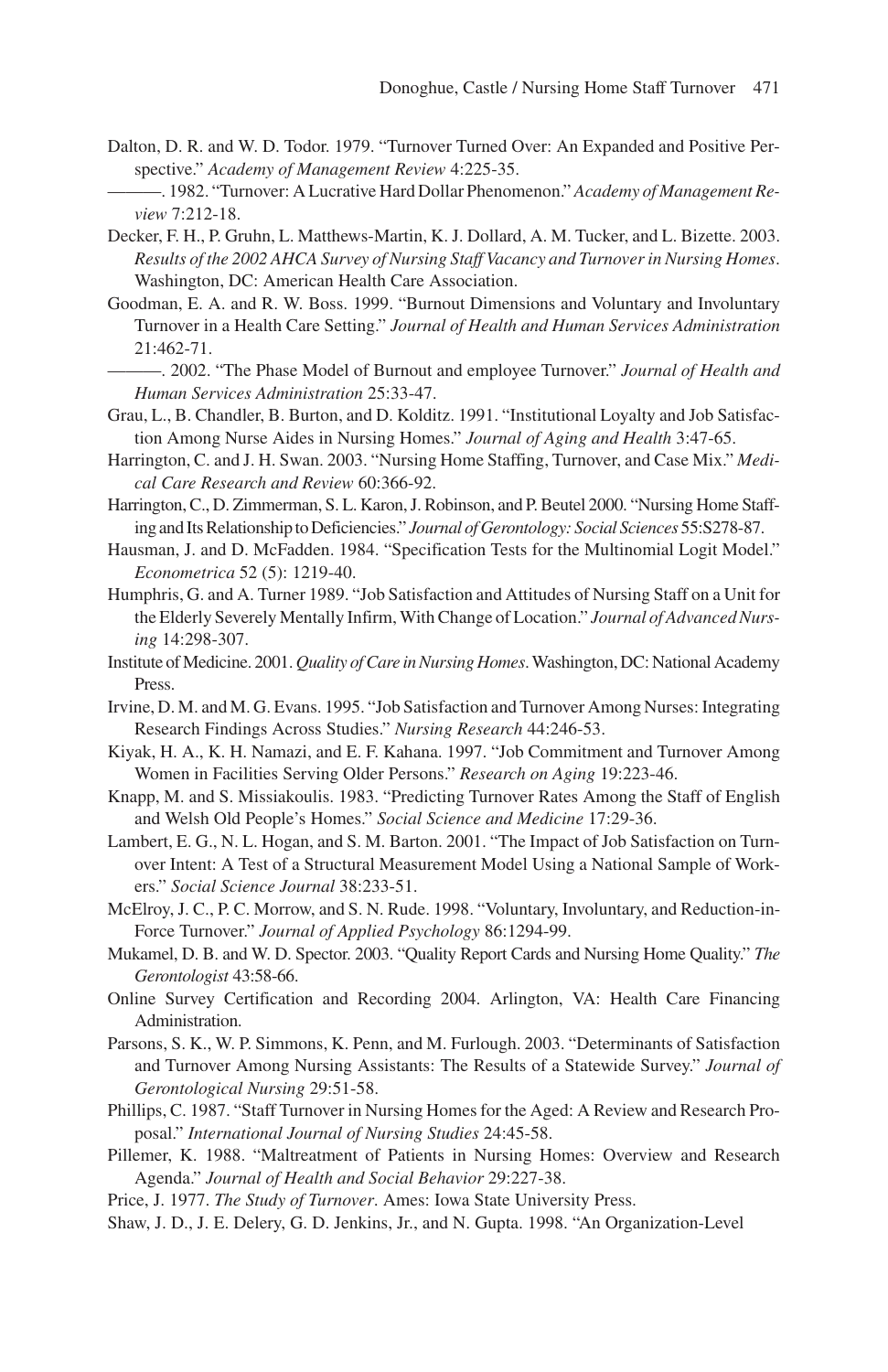- Dalton, D. R. and W. D. Todor. 1979. "Turnover Turned Over: An Expanded and Positive Perspective." *Academy of Management Review* 4:225-35.
- ———. 1982. "Turnover: A Lucrative Hard Dollar Phenomenon." *Academy of Management Review* 7:212-18.
- Decker, F. H., P. Gruhn, L. Matthews-Martin, K. J. Dollard, A. M. Tucker, and L. Bizette. 2003. *Results of the 2002 AHCA Survey of Nursing Staff Vacancy and Turnover in Nursing Homes*. Washington, DC: American Health Care Association.
- Goodman, E. A. and R. W. Boss. 1999. "Burnout Dimensions and Voluntary and Involuntary Turnover in a Health Care Setting." *Journal of Health and Human Services Administration* 21:462-71.
	- ———. 2002. "The Phase Model of Burnout and employee Turnover." *Journal of Health and Human Services Administration* 25:33-47.
- Grau, L., B. Chandler, B. Burton, and D. Kolditz. 1991. "Institutional Loyalty and Job Satisfaction Among Nurse Aides in Nursing Homes." *Journal of Aging and Health* 3:47-65.
- Harrington, C. and J. H. Swan. 2003. "Nursing Home Staffing, Turnover, and Case Mix." *Medical Care Research and Review* 60:366-92.
- Harrington, C., D. Zimmerman, S. L. Karon, J. Robinson, and P. Beutel 2000. "Nursing Home Staffing and Its Relationship to Deficiencies." *Journal of Gerontology: Social Sciences* 55:S278-87.
- Hausman, J. and D. McFadden. 1984. "Specification Tests for the Multinomial Logit Model." *Econometrica* 52 (5): 1219-40.
- Humphris, G. and A. Turner 1989. "Job Satisfaction and Attitudes of Nursing Staff on a Unit for the Elderly Severely Mentally Infirm, With Change of Location." *Journal of Advanced Nursing* 14:298-307.
- Institute of Medicine. 2001. *Quality of Care in Nursing Homes*. Washington, DC: National Academy Press.
- Irvine, D. M. and M. G. Evans. 1995. "Job Satisfaction and Turnover Among Nurses: Integrating Research Findings Across Studies." *Nursing Research* 44:246-53.
- Kiyak, H. A., K. H. Namazi, and E. F. Kahana. 1997. "Job Commitment and Turnover Among Women in Facilities Serving Older Persons." *Research on Aging* 19:223-46.
- Knapp, M. and S. Missiakoulis. 1983. "Predicting Turnover Rates Among the Staff of English and Welsh Old People's Homes." *Social Science and Medicine* 17:29-36.
- Lambert, E. G., N. L. Hogan, and S. M. Barton. 2001. "The Impact of Job Satisfaction on Turnover Intent: A Test of a Structural Measurement Model Using a National Sample of Workers." *Social Science Journal* 38:233-51.
- McElroy, J. C., P. C. Morrow, and S. N. Rude. 1998. "Voluntary, Involuntary, and Reduction-in-Force Turnover." *Journal of Applied Psychology* 86:1294-99.
- Mukamel, D. B. and W. D. Spector. 2003. "Quality Report Cards and Nursing Home Quality." *The Gerontologist* 43:58-66.
- Online Survey Certification and Recording 2004. Arlington, VA: Health Care Financing Administration.
- Parsons, S. K., W. P. Simmons, K. Penn, and M. Furlough. 2003. "Determinants of Satisfaction and Turnover Among Nursing Assistants: The Results of a Statewide Survey." *Journal of Gerontological Nursing* 29:51-58.
- Phillips, C. 1987. "Staff Turnover in Nursing Homes for the Aged: A Review and Research Proposal." *International Journal of Nursing Studies* 24:45-58.
- Pillemer, K. 1988. "Maltreatment of Patients in Nursing Homes: Overview and Research Agenda." *Journal of Health and Social Behavior* 29:227-38.
- Price, J. 1977. *The Study of Turnover*. Ames: Iowa State University Press.
- Shaw, J. D., J. E. Delery, G. D. Jenkins, Jr., and N. Gupta. 1998. "An Organization-Level